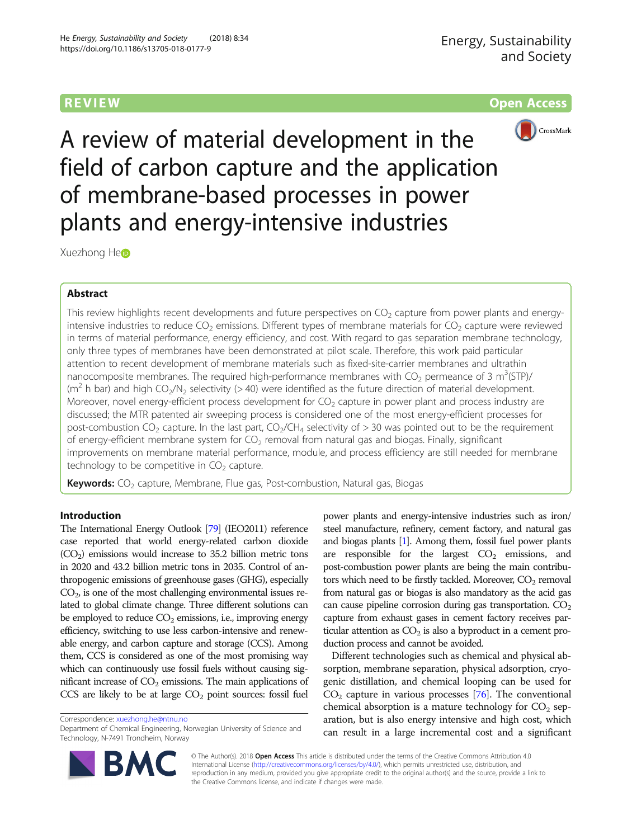**REVIEW CONTROL** CONTROL CONTROL CONTROL CONTROL CONTROL CONTROL CONTROL CONTROL CONTROL CONTROL CONTROL CONTROL CONTROL CONTROL CONTROL CONTROL CONTROL CONTROL CONTROL CONTROL CONTROL CONTROL CONTROL CONTROL CONTROL CONTR



A review of material development in the field of carbon capture and the application of membrane-based processes in power plants and energy-intensive industries

Xuezhong He

# Abstract

This review highlights recent developments and future perspectives on  $CO<sub>2</sub>$  capture from power plants and energyintensive industries to reduce  $CO<sub>2</sub>$  emissions. Different types of membrane materials for  $CO<sub>2</sub>$  capture were reviewed in terms of material performance, energy efficiency, and cost. With regard to gas separation membrane technology, only three types of membranes have been demonstrated at pilot scale. Therefore, this work paid particular attention to recent development of membrane materials such as fixed-site-carrier membranes and ultrathin nanocomposite membranes. The required high-performance membranes with  $CO<sub>2</sub>$  permeance of 3 m<sup>3</sup>(STP)/ ( $m<sup>2</sup>$  h bar) and high CO<sub>2</sub>/N<sub>2</sub> selectivity (> 40) were identified as the future direction of material development. Moreover, novel energy-efficient process development for  $CO<sub>2</sub>$  capture in power plant and process industry are discussed; the MTR patented air sweeping process is considered one of the most energy-efficient processes for post-combustion CO<sub>2</sub> capture. In the last part, CO<sub>2</sub>/CH<sub>4</sub> selectivity of  $>$  30 was pointed out to be the requirement of energy-efficient membrane system for  $CO<sub>2</sub>$  removal from natural gas and biogas. Finally, significant improvements on membrane material performance, module, and process efficiency are still needed for membrane technology to be competitive in  $CO<sub>2</sub>$  capture.

**Keywords:**  $CO<sub>2</sub>$  capture, Membrane, Flue gas, Post-combustion, Natural gas, Biogas

# Introduction

The International Energy Outlook [\[79\]](#page-11-0) (IEO2011) reference case reported that world energy-related carbon dioxide  $(CO<sub>2</sub>)$  emissions would increase to 35.2 billion metric tons in 2020 and 43.2 billion metric tons in 2035. Control of anthropogenic emissions of greenhouse gases (GHG), especially  $CO<sub>2</sub>$ , is one of the most challenging environmental issues related to global climate change. Three different solutions can be employed to reduce  $CO<sub>2</sub>$  emissions, i.e., improving energy efficiency, switching to use less carbon-intensive and renewable energy, and carbon capture and storage (CCS). Among them, CCS is considered as one of the most promising way which can continuously use fossil fuels without causing significant increase of  $CO<sub>2</sub>$  emissions. The main applications of  $CCS$  are likely to be at large  $CO<sub>2</sub>$  point sources: fossil fuel

Correspondence: [xuezhong.he@ntnu.no](mailto:xuezhong.he@ntnu.no)

Department of Chemical Engineering, Norwegian University of Science and Technology, N-7491 Trondheim, Norway



Different technologies such as chemical and physical absorption, membrane separation, physical adsorption, cryogenic distillation, and chemical looping can be used for  $CO<sub>2</sub>$  capture in various processes [[76](#page-11-0)]. The conventional chemical absorption is a mature technology for  $CO<sub>2</sub>$  separation, but is also energy intensive and high cost, which can result in a large incremental cost and a significant



© The Author(s). 2018 Open Access This article is distributed under the terms of the Creative Commons Attribution 4.0 International License [\(http://creativecommons.org/licenses/by/4.0/](http://creativecommons.org/licenses/by/4.0/)), which permits unrestricted use, distribution, and reproduction in any medium, provided you give appropriate credit to the original author(s) and the source, provide a link to the Creative Commons license, and indicate if changes were made.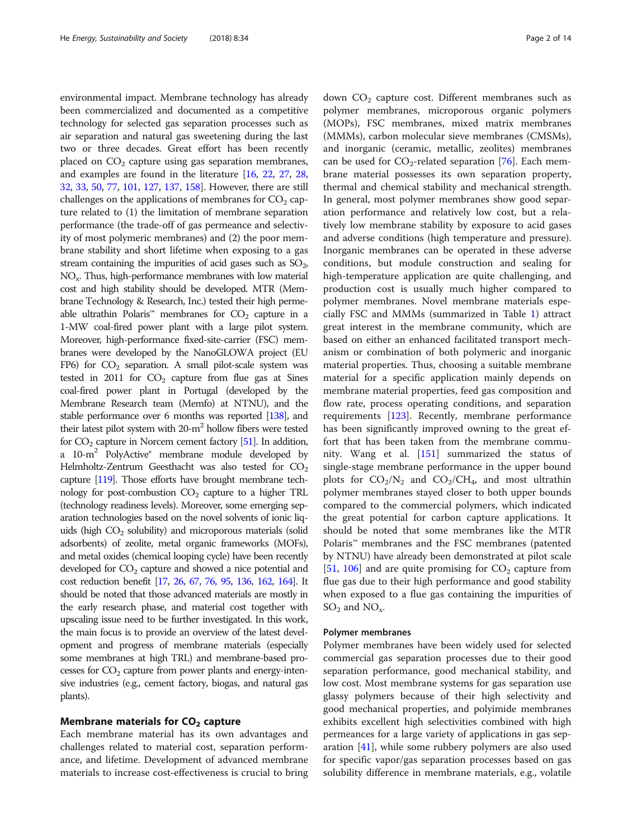environmental impact. Membrane technology has already been commercialized and documented as a competitive technology for selected gas separation processes such as air separation and natural gas sweetening during the last two or three decades. Great effort has been recently placed on  $CO<sub>2</sub>$  capture using gas separation membranes, and examples are found in the literature [[16](#page-10-0), [22](#page-10-0), [27,](#page-10-0) [28](#page-10-0), [32](#page-10-0), [33](#page-10-0), [50,](#page-11-0) [77,](#page-11-0) [101](#page-12-0), [127,](#page-12-0) [137](#page-12-0), [158\]](#page-13-0). However, there are still challenges on the applications of membranes for  $CO<sub>2</sub>$  capture related to (1) the limitation of membrane separation performance (the trade-off of gas permeance and selectivity of most polymeric membranes) and (2) the poor membrane stability and short lifetime when exposing to a gas stream containing the impurities of acid gases such as  $SO_2$ , NOx. Thus, high-performance membranes with low material cost and high stability should be developed. MTR (Membrane Technology & Research, Inc.) tested their high permeable ultrathin Polaris<sup>™</sup> membranes for  $CO<sub>2</sub>$  capture in a 1-MW coal-fired power plant with a large pilot system. Moreover, high-performance fixed-site-carrier (FSC) membranes were developed by the NanoGLOWA project (EU FP6) for  $CO<sub>2</sub>$  separation. A small pilot-scale system was tested in 2011 for  $CO<sub>2</sub>$  capture from flue gas at Sines coal-fired power plant in Portugal (developed by the Membrane Research team (Memfo) at NTNU), and the stable performance over 6 months was reported [[138\]](#page-12-0), and their latest pilot system with  $20-m^2$  hollow fibers were tested for  $CO<sub>2</sub>$  capture in Norcem cement factory [\[51\]](#page-11-0). In addition, a 10-m<sup>2</sup> PolyActive<sup>®</sup> membrane module developed by Helmholtz-Zentrum Geesthacht was also tested for  $CO<sub>2</sub>$ capture [\[119\]](#page-12-0). Those efforts have brought membrane technology for post-combustion  $CO<sub>2</sub>$  capture to a higher TRL (technology readiness levels). Moreover, some emerging separation technologies based on the novel solvents of ionic liquids (high  $CO<sub>2</sub>$  solubility) and microporous materials (solid adsorbents) of zeolite, metal organic frameworks (MOFs), and metal oxides (chemical looping cycle) have been recently developed for  $CO<sub>2</sub>$  capture and showed a nice potential and cost reduction benefit [\[17,](#page-10-0) [26,](#page-10-0) [67,](#page-11-0) [76,](#page-11-0) [95](#page-11-0), [136,](#page-12-0) [162](#page-13-0), [164\]](#page-13-0). It should be noted that those advanced materials are mostly in the early research phase, and material cost together with upscaling issue need to be further investigated. In this work, the main focus is to provide an overview of the latest development and progress of membrane materials (especially some membranes at high TRL) and membrane-based processes for  $CO<sub>2</sub>$  capture from power plants and energy-intensive industries (e.g., cement factory, biogas, and natural gas plants).

## Membrane materials for  $CO<sub>2</sub>$  capture

Each membrane material has its own advantages and challenges related to material cost, separation performance, and lifetime. Development of advanced membrane materials to increase cost-effectiveness is crucial to bring down  $CO<sub>2</sub>$  capture cost. Different membranes such as polymer membranes, microporous organic polymers (MOPs), FSC membranes, mixed matrix membranes (MMMs), carbon molecular sieve membranes (CMSMs), and inorganic (ceramic, metallic, zeolites) membranes can be used for  $CO_2$ -related separation [[76\]](#page-11-0). Each membrane material possesses its own separation property, thermal and chemical stability and mechanical strength. In general, most polymer membranes show good separation performance and relatively low cost, but a relatively low membrane stability by exposure to acid gases and adverse conditions (high temperature and pressure). Inorganic membranes can be operated in these adverse conditions, but module construction and sealing for high-temperature application are quite challenging, and production cost is usually much higher compared to polymer membranes. Novel membrane materials especially FSC and MMMs (summarized in Table [1\)](#page-2-0) attract great interest in the membrane community, which are based on either an enhanced facilitated transport mechanism or combination of both polymeric and inorganic material properties. Thus, choosing a suitable membrane material for a specific application mainly depends on membrane material properties, feed gas composition and flow rate, process operating conditions, and separation requirements [\[123\]](#page-12-0). Recently, membrane performance has been significantly improved owning to the great effort that has been taken from the membrane community. Wang et al. [\[151](#page-13-0)] summarized the status of single-stage membrane performance in the upper bound plots for  $CO_2/N_2$  and  $CO_2/CH_4$ , and most ultrathin polymer membranes stayed closer to both upper bounds compared to the commercial polymers, which indicated the great potential for carbon capture applications. It should be noted that some membranes like the MTR Polaris™ membranes and the FSC membranes (patented by NTNU) have already been demonstrated at pilot scale [[51,](#page-11-0) [106](#page-12-0)] and are quite promising for  $CO<sub>2</sub>$  capture from flue gas due to their high performance and good stability when exposed to a flue gas containing the impurities of  $SO_2$  and  $NO_x$ .

## Polymer membranes

Polymer membranes have been widely used for selected commercial gas separation processes due to their good separation performance, good mechanical stability, and low cost. Most membrane systems for gas separation use glassy polymers because of their high selectivity and good mechanical properties, and polyimide membranes exhibits excellent high selectivities combined with high permeances for a large variety of applications in gas separation [\[41\]](#page-10-0), while some rubbery polymers are also used for specific vapor/gas separation processes based on gas solubility difference in membrane materials, e.g., volatile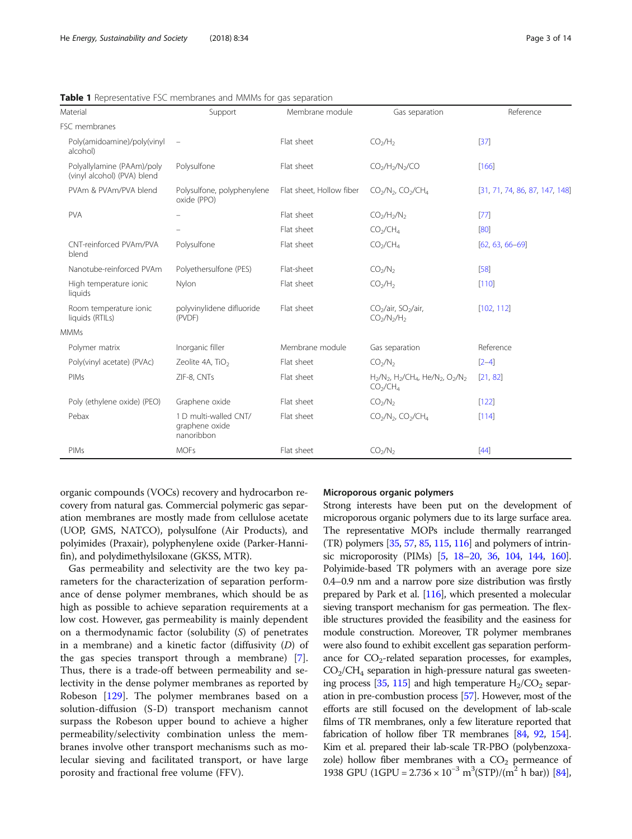| Material                                                  | Support                                               | Membrane module          | Gas separation                                                                                                  | Reference                      |
|-----------------------------------------------------------|-------------------------------------------------------|--------------------------|-----------------------------------------------------------------------------------------------------------------|--------------------------------|
| FSC membranes                                             |                                                       |                          |                                                                                                                 |                                |
| Poly(amidoamine)/poly(vinyl<br>alcohol)                   | $\qquad \qquad -$                                     | Flat sheet               | CO <sub>2</sub> /H <sub>2</sub>                                                                                 | $[37]$                         |
| Polyallylamine (PAAm)/poly<br>(vinyl alcohol) (PVA) blend | Polysulfone                                           | Flat sheet               | $CO2/H2/N2/CO$                                                                                                  | [166]                          |
| PVAm & PVAm/PVA blend                                     | Polysulfone, polyphenylene<br>oxide (PPO)             | Flat sheet, Hollow fiber | $CO2/N2$ , $CO2/CH4$                                                                                            | [31, 71, 74, 86, 87, 147, 148] |
| <b>PVA</b>                                                |                                                       | Flat sheet               | $CO2/H2/N2$                                                                                                     | $[77]$                         |
|                                                           |                                                       | Flat sheet               | CO <sub>2</sub> /CH <sub>4</sub>                                                                                | [80]                           |
| CNT-reinforced PVAm/PVA<br>blend                          | Polysulfone                                           | Flat sheet               | CO <sub>2</sub> /CH <sub>4</sub>                                                                                | $[62, 63, 66 - 69]$            |
| Nanotube-reinforced PVAm                                  | Polyethersulfone (PES)                                | Flat-sheet               | CO <sub>2</sub> /N <sub>2</sub>                                                                                 | [58]                           |
| High temperature ionic<br>liquids                         | Nylon                                                 | Flat sheet               | CO <sub>2</sub> /H <sub>2</sub>                                                                                 | $[110]$                        |
| Room temperature ionic<br>liquids (RTILs)                 | polyvinylidene difluoride<br>(PVDF)                   | Flat sheet               | CO <sub>2</sub> /air, SO <sub>2</sub> /air,<br>$CO2/N2/H2$                                                      | [102, 112]                     |
| <b>MMMs</b>                                               |                                                       |                          |                                                                                                                 |                                |
| Polymer matrix                                            | Inorganic filler                                      | Membrane module          | Gas separation                                                                                                  | Reference                      |
| Poly(vinyl acetate) (PVAc)                                | Zeolite 4A, TiO <sub>2</sub>                          | Flat sheet               | CO <sub>2</sub> /N <sub>2</sub>                                                                                 | $[2-4]$                        |
| PIMs                                                      | ZIF-8, CNTs                                           | Flat sheet               | $H_2/N_2$ , $H_2/CH_4$ , He/N <sub>2</sub> , O <sub>2</sub> /N <sub>2</sub><br>CO <sub>2</sub> /CH <sub>4</sub> | [21, 82]                       |
| Poly (ethylene oxide) (PEO)                               | Graphene oxide                                        | Flat sheet               | CO <sub>2</sub> /N <sub>2</sub>                                                                                 | [122]                          |
| Pebax                                                     | 1 D multi-walled CNT/<br>graphene oxide<br>nanoribbon | Flat sheet               | $CO2/N2$ , $CO2/CH4$                                                                                            | $[114]$                        |
| PIMs                                                      | <b>MOFs</b>                                           | Flat sheet               | CO <sub>2</sub> /N <sub>2</sub>                                                                                 | $[44]$                         |

<span id="page-2-0"></span>Table 1 Representative FSC membranes and MMMs for gas separation

organic compounds (VOCs) recovery and hydrocarbon recovery from natural gas. Commercial polymeric gas separation membranes are mostly made from cellulose acetate (UOP, GMS, NATCO), polysulfone (Air Products), and polyimides (Praxair), polyphenylene oxide (Parker-Hannifin), and polydimethylsiloxane (GKSS, MTR).

Gas permeability and selectivity are the two key parameters for the characterization of separation performance of dense polymer membranes, which should be as high as possible to achieve separation requirements at a low cost. However, gas permeability is mainly dependent on a thermodynamic factor (solubility (S) of penetrates in a membrane) and a kinetic factor (diffusivity (D) of the gas species transport through a membrane) [\[7](#page-10-0)]. Thus, there is a trade-off between permeability and selectivity in the dense polymer membranes as reported by Robeson [[129](#page-12-0)]. The polymer membranes based on a solution-diffusion (S-D) transport mechanism cannot surpass the Robeson upper bound to achieve a higher permeability/selectivity combination unless the membranes involve other transport mechanisms such as molecular sieving and facilitated transport, or have large porosity and fractional free volume (FFV).

#### Microporous organic polymers

Strong interests have been put on the development of microporous organic polymers due to its large surface area. The representative MOPs include thermally rearranged (TR) polymers [\[35](#page-10-0), [57,](#page-11-0) [85,](#page-11-0) [115](#page-12-0), [116\]](#page-12-0) and polymers of intrinsic microporosity (PIMs) [\[5](#page-10-0), [18](#page-10-0)–[20](#page-10-0), [36,](#page-10-0) [104](#page-12-0), [144,](#page-12-0) [160](#page-13-0)]. Polyimide-based TR polymers with an average pore size 0.4–0.9 nm and a narrow pore size distribution was firstly prepared by Park et al. [\[116\]](#page-12-0), which presented a molecular sieving transport mechanism for gas permeation. The flexible structures provided the feasibility and the easiness for module construction. Moreover, TR polymer membranes were also found to exhibit excellent gas separation performance for  $CO_2$ -related separation processes, for examples,  $CO<sub>2</sub>/CH<sub>4</sub>$  separation in high-pressure natural gas sweeten-ing process [\[35,](#page-10-0) [115](#page-12-0)] and high temperature  $H_2/CO_2$  separation in pre-combustion process [\[57\]](#page-11-0). However, most of the efforts are still focused on the development of lab-scale films of TR membranes, only a few literature reported that fabrication of hollow fiber TR membranes [\[84,](#page-11-0) [92,](#page-11-0) [154](#page-13-0)]. Kim et al. prepared their lab-scale TR-PBO (polybenzoxazole) hollow fiber membranes with a  $CO<sub>2</sub>$  permeance of 1938 GPU (1GPU =  $2.736 \times 10^{-3}$  m<sup>3</sup>(STP)/(m<sup>2</sup> h bar)) [\[84](#page-11-0)],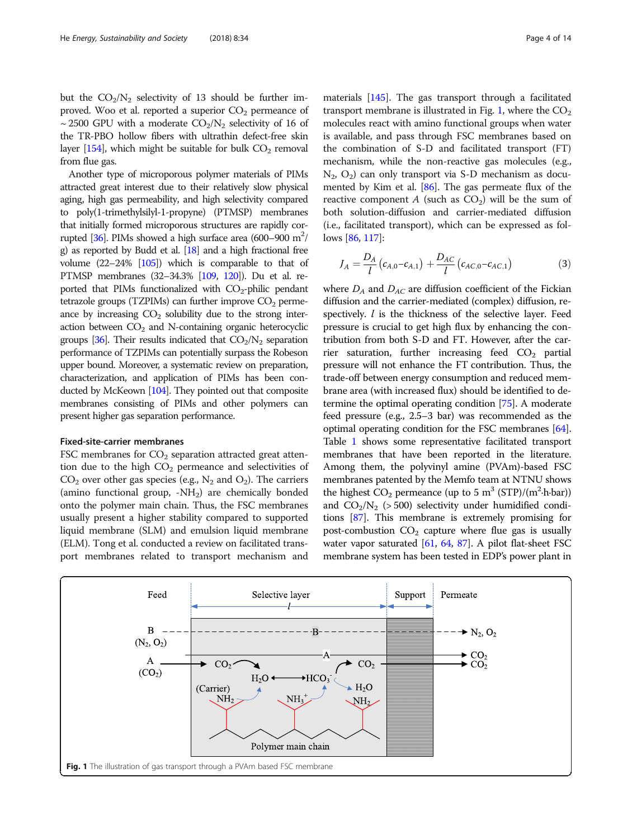but the  $CO<sub>2</sub>/N<sub>2</sub>$  selectivity of 13 should be further improved. Woo et al. reported a superior  $CO<sub>2</sub>$  permeance of ~ 2500 GPU with a moderate  $CO<sub>2</sub>/N<sub>2</sub>$  selectivity of 16 of the TR-PBO hollow fibers with ultrathin defect-free skin layer  $[154]$  $[154]$ , which might be suitable for bulk  $CO<sub>2</sub>$  removal from flue gas.

Another type of microporous polymer materials of PIMs attracted great interest due to their relatively slow physical aging, high gas permeability, and high selectivity compared to poly(1-trimethylsilyl-1-propyne) (PTMSP) membranes that initially formed microporous structures are rapidly cor-rupted [\[36](#page-10-0)]. PIMs showed a high surface area (600–900  $m^2$ / g) as reported by Budd et al.  $[18]$  $[18]$  and a high fractional free volume  $(22-24\%$   $[105]$ ) which is comparable to that of PTMSP membranes (32–34.3% [\[109,](#page-12-0) [120\]](#page-12-0)). Du et al. reported that PIMs functionalized with  $CO_2$ -philic pendant tetrazole groups (TZPIMs) can further improve  $CO<sub>2</sub>$  permeance by increasing  $CO<sub>2</sub>$  solubility due to the strong interaction between  $CO<sub>2</sub>$  and N-containing organic heterocyclic groups [\[36](#page-10-0)]. Their results indicated that  $CO<sub>2</sub>/N<sub>2</sub>$  separation performance of TZPIMs can potentially surpass the Robeson upper bound. Moreover, a systematic review on preparation, characterization, and application of PIMs has been conducted by McKeown [[104](#page-12-0)]. They pointed out that composite membranes consisting of PIMs and other polymers can present higher gas separation performance.

#### Fixed-site-carrier membranes

FSC membranes for  $CO<sub>2</sub>$  separation attracted great attention due to the high  $CO<sub>2</sub>$  permeance and selectivities of  $CO<sub>2</sub>$  over other gas species (e.g., N<sub>2</sub> and  $O<sub>2</sub>$ ). The carriers (amino functional group,  $-NH_2$ ) are chemically bonded onto the polymer main chain. Thus, the FSC membranes usually present a higher stability compared to supported liquid membrane (SLM) and emulsion liquid membrane (ELM). Tong et al. conducted a review on facilitated transport membranes related to transport mechanism and

materials [\[145](#page-12-0)]. The gas transport through a facilitated transport membrane is illustrated in Fig. 1, where the  $CO<sub>2</sub>$ molecules react with amino functional groups when water is available, and pass through FSC membranes based on the combination of S-D and facilitated transport (FT) mechanism, while the non-reactive gas molecules (e.g.,  $N_2$ ,  $O_2$ ) can only transport via S-D mechanism as documented by Kim et al. [[86](#page-11-0)]. The gas permeate flux of the reactive component A (such as  $CO<sub>2</sub>$ ) will be the sum of both solution-diffusion and carrier-mediated diffusion (i.e., facilitated transport), which can be expressed as follows [\[86](#page-11-0), [117](#page-12-0)]:

$$
J_A = \frac{D_A}{l} (c_{A,0} - c_{A,1}) + \frac{D_{AC}}{l} (c_{AC,0} - c_{AC,1})
$$
 (3)

where  $D_A$  and  $D_{AC}$  are diffusion coefficient of the Fickian diffusion and the carrier-mediated (complex) diffusion, respectively.  $l$  is the thickness of the selective layer. Feed pressure is crucial to get high flux by enhancing the contribution from both S-D and FT. However, after the carrier saturation, further increasing feed  $CO<sub>2</sub>$  partial pressure will not enhance the FT contribution. Thus, the trade-off between energy consumption and reduced membrane area (with increased flux) should be identified to determine the optimal operating condition [\[75\]](#page-11-0). A moderate feed pressure (e.g., 2.5–3 bar) was recommended as the optimal operating condition for the FSC membranes [[64](#page-11-0)]. Table [1](#page-2-0) shows some representative facilitated transport membranes that have been reported in the literature. Among them, the polyvinyl amine (PVAm)-based FSC membranes patented by the Memfo team at NTNU shows the highest  $CO_2$  permeance (up to 5 m<sup>3</sup> (STP)/(m<sup>2</sup>·h·bar)) and  $CO<sub>2</sub>/N<sub>2</sub>$  (> 500) selectivity under humidified conditions [[87](#page-11-0)]. This membrane is extremely promising for post-combustion  $CO<sub>2</sub>$  capture where flue gas is usually water vapor saturated [\[61,](#page-11-0) [64](#page-11-0), [87\]](#page-11-0). A pilot flat-sheet FSC membrane system has been tested in EDP's power plant in

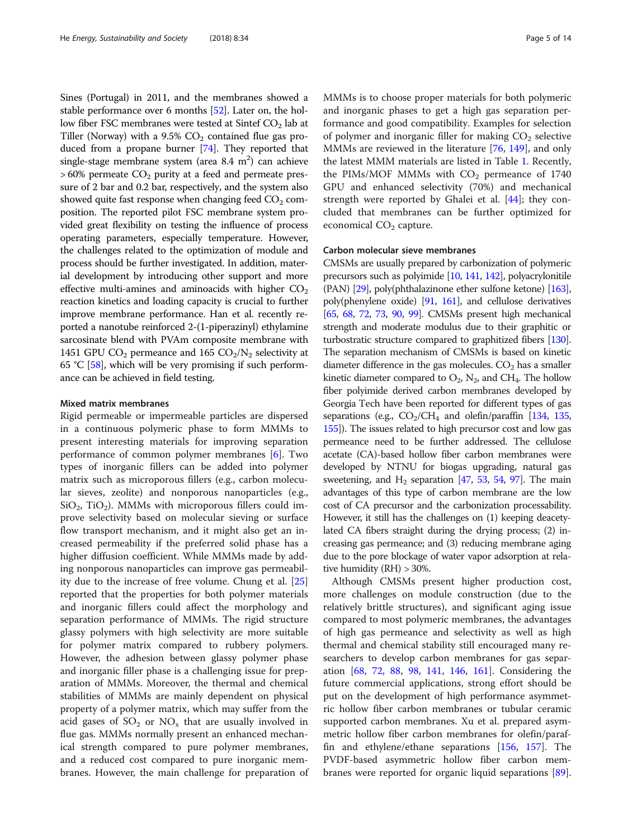Sines (Portugal) in 2011, and the membranes showed a stable performance over 6 months [\[52\]](#page-11-0). Later on, the hollow fiber FSC membranes were tested at Sintef  $CO<sub>2</sub>$  lab at Tiller (Norway) with a 9.5%  $CO<sub>2</sub>$  contained flue gas produced from a propane burner [\[74\]](#page-11-0). They reported that single-stage membrane system (area 8.4 m<sup>2</sup>) can achieve  $> 60\%$  permeate  $CO<sub>2</sub>$  purity at a feed and permeate pressure of 2 bar and 0.2 bar, respectively, and the system also showed quite fast response when changing feed  $CO<sub>2</sub>$  composition. The reported pilot FSC membrane system provided great flexibility on testing the influence of process operating parameters, especially temperature. However, the challenges related to the optimization of module and process should be further investigated. In addition, material development by introducing other support and more effective multi-amines and aminoacids with higher  $CO<sub>2</sub>$ reaction kinetics and loading capacity is crucial to further improve membrane performance. Han et al. recently reported a nanotube reinforced 2-(1-piperazinyl) ethylamine sarcosinate blend with PVAm composite membrane with 1451 GPU  $CO<sub>2</sub>$  permeance and 165  $CO<sub>2</sub>/N<sub>2</sub>$  selectivity at 65 °C  $[58]$ , which will be very promising if such performance can be achieved in field testing.

### Mixed matrix membranes

Rigid permeable or impermeable particles are dispersed in a continuous polymeric phase to form MMMs to present interesting materials for improving separation performance of common polymer membranes [[6\]](#page-10-0). Two types of inorganic fillers can be added into polymer matrix such as microporous fillers (e.g., carbon molecular sieves, zeolite) and nonporous nanoparticles (e.g.,  $SiO<sub>2</sub>$ , TiO<sub>2</sub>). MMMs with microporous fillers could improve selectivity based on molecular sieving or surface flow transport mechanism, and it might also get an increased permeability if the preferred solid phase has a higher diffusion coefficient. While MMMs made by adding nonporous nanoparticles can improve gas permeability due to the increase of free volume. Chung et al. [[25](#page-10-0)] reported that the properties for both polymer materials and inorganic fillers could affect the morphology and separation performance of MMMs. The rigid structure glassy polymers with high selectivity are more suitable for polymer matrix compared to rubbery polymers. However, the adhesion between glassy polymer phase and inorganic filler phase is a challenging issue for preparation of MMMs. Moreover, the thermal and chemical stabilities of MMMs are mainly dependent on physical property of a polymer matrix, which may suffer from the acid gases of  $SO_2$  or  $NO_x$  that are usually involved in flue gas. MMMs normally present an enhanced mechanical strength compared to pure polymer membranes, and a reduced cost compared to pure inorganic membranes. However, the main challenge for preparation of MMMs is to choose proper materials for both polymeric and inorganic phases to get a high gas separation performance and good compatibility. Examples for selection of polymer and inorganic filler for making  $CO<sub>2</sub>$  selective MMMs are reviewed in the literature [[76](#page-11-0), [149](#page-12-0)], and only the latest MMM materials are listed in Table [1](#page-2-0). Recently, the PIMs/MOF MMMs with  $CO<sub>2</sub>$  permeance of 1740 GPU and enhanced selectivity (70%) and mechanical strength were reported by Ghalei et al. [[44\]](#page-10-0); they concluded that membranes can be further optimized for economical  $CO<sub>2</sub>$  capture.

## Carbon molecular sieve membranes

CMSMs are usually prepared by carbonization of polymeric precursors such as polyimide [\[10,](#page-10-0) [141](#page-12-0), [142](#page-12-0)], polyacrylonitile (PAN) [[29\]](#page-10-0), poly(phthalazinone ether sulfone ketone) [\[163](#page-13-0)], poly(phenylene oxide) [\[91,](#page-11-0) [161\]](#page-13-0), and cellulose derivatives [[65](#page-11-0), [68,](#page-11-0) [72](#page-11-0), [73,](#page-11-0) [90,](#page-11-0) [99](#page-11-0)]. CMSMs present high mechanical strength and moderate modulus due to their graphitic or turbostratic structure compared to graphitized fibers [\[130](#page-12-0)]. The separation mechanism of CMSMs is based on kinetic diameter difference in the gas molecules.  $CO<sub>2</sub>$  has a smaller kinetic diameter compared to  $O_2$ ,  $N_2$ , and CH<sub>4</sub>. The hollow fiber polyimide derived carbon membranes developed by Georgia Tech have been reported for different types of gas separations (e.g.,  $CO_2/CH_4$  and olefin/paraffin [\[134](#page-12-0), [135](#page-12-0), [155\]](#page-13-0)). The issues related to high precursor cost and low gas permeance need to be further addressed. The cellulose acetate (CA)-based hollow fiber carbon membranes were developed by NTNU for biogas upgrading, natural gas sweetening, and  $H_2$  separation [[47,](#page-10-0) [53](#page-11-0), [54,](#page-11-0) [97](#page-11-0)]. The main advantages of this type of carbon membrane are the low cost of CA precursor and the carbonization processability. However, it still has the challenges on (1) keeping deacetylated CA fibers straight during the drying process; (2) increasing gas permeance; and (3) reducing membrane aging due to the pore blockage of water vapor adsorption at relative humidity (RH) > 30%.

Although CMSMs present higher production cost, more challenges on module construction (due to the relatively brittle structures), and significant aging issue compared to most polymeric membranes, the advantages of high gas permeance and selectivity as well as high thermal and chemical stability still encouraged many researchers to develop carbon membranes for gas separation [[68,](#page-11-0) [72,](#page-11-0) [88,](#page-11-0) [98,](#page-11-0) [141,](#page-12-0) [146,](#page-12-0) [161\]](#page-13-0). Considering the future commercial applications, strong effort should be put on the development of high performance asymmetric hollow fiber carbon membranes or tubular ceramic supported carbon membranes. Xu et al. prepared asymmetric hollow fiber carbon membranes for olefin/paraffin and ethylene/ethane separations [[156,](#page-13-0) [157](#page-13-0)]. The PVDF-based asymmetric hollow fiber carbon membranes were reported for organic liquid separations [\[89](#page-11-0)].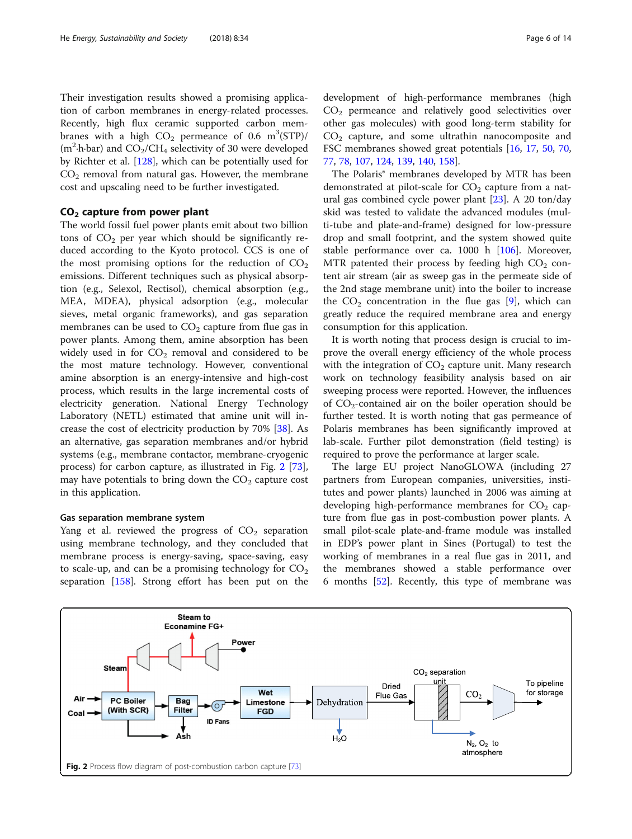<span id="page-5-0"></span>Their investigation results showed a promising application of carbon membranes in energy-related processes. Recently, high flux ceramic supported carbon membranes with a high  $CO<sub>2</sub>$  permeance of 0.6 m<sup>3</sup>(STP)/  $(m^2 \cdot h \cdot bar)$  and  $CO_2/CH_4$  selectivity of 30 were developed by Richter et al. [[128\]](#page-12-0), which can be potentially used for  $CO<sub>2</sub>$  removal from natural gas. However, the membrane cost and upscaling need to be further investigated.

## CO2 capture from power plant

The world fossil fuel power plants emit about two billion tons of  $CO<sub>2</sub>$  per year which should be significantly reduced according to the Kyoto protocol. CCS is one of the most promising options for the reduction of  $CO<sub>2</sub>$ emissions. Different techniques such as physical absorption (e.g., Selexol, Rectisol), chemical absorption (e.g., MEA, MDEA), physical adsorption (e.g., molecular sieves, metal organic frameworks), and gas separation membranes can be used to  $CO<sub>2</sub>$  capture from flue gas in power plants. Among them, amine absorption has been widely used in for  $CO<sub>2</sub>$  removal and considered to be the most mature technology. However, conventional amine absorption is an energy-intensive and high-cost process, which results in the large incremental costs of electricity generation. National Energy Technology Laboratory (NETL) estimated that amine unit will increase the cost of electricity production by 70% [\[38\]](#page-10-0). As an alternative, gas separation membranes and/or hybrid systems (e.g., membrane contactor, membrane-cryogenic process) for carbon capture, as illustrated in Fig. 2 [\[73](#page-11-0)], may have potentials to bring down the  $CO<sub>2</sub>$  capture cost in this application.

#### Gas separation membrane system

Yang et al. reviewed the progress of  $CO<sub>2</sub>$  separation using membrane technology, and they concluded that membrane process is energy-saving, space-saving, easy to scale-up, and can be a promising technology for  $CO<sub>2</sub>$ separation [\[158\]](#page-13-0). Strong effort has been put on the development of high-performance membranes (high  $CO<sub>2</sub>$  permeance and relatively good selectivities over other gas molecules) with good long-term stability for  $CO<sub>2</sub>$  capture, and some ultrathin nanocomposite and FSC membranes showed great potentials [\[16](#page-10-0), [17,](#page-10-0) [50](#page-11-0), [70](#page-11-0), [77,](#page-11-0) [78](#page-11-0), [107](#page-12-0), [124](#page-12-0), [139,](#page-12-0) [140,](#page-12-0) [158](#page-13-0)].

The Polaris® membranes developed by MTR has been demonstrated at pilot-scale for  $CO<sub>2</sub>$  capture from a natural gas combined cycle power plant [[23\]](#page-10-0). A 20 ton/day skid was tested to validate the advanced modules (multi-tube and plate-and-frame) designed for low-pressure drop and small footprint, and the system showed quite stable performance over ca. 1000 h [\[106](#page-12-0)]. Moreover, MTR patented their process by feeding high  $CO<sub>2</sub>$  content air stream (air as sweep gas in the permeate side of the 2nd stage membrane unit) into the boiler to increase the  $CO<sub>2</sub>$  concentration in the flue gas [[9\]](#page-10-0), which can greatly reduce the required membrane area and energy consumption for this application.

It is worth noting that process design is crucial to improve the overall energy efficiency of the whole process with the integration of  $CO<sub>2</sub>$  capture unit. Many research work on technology feasibility analysis based on air sweeping process were reported. However, the influences of  $CO_2$ -contained air on the boiler operation should be further tested. It is worth noting that gas permeance of Polaris membranes has been significantly improved at lab-scale. Further pilot demonstration (field testing) is required to prove the performance at larger scale.

The large EU project NanoGLOWA (including 27 partners from European companies, universities, institutes and power plants) launched in 2006 was aiming at developing high-performance membranes for  $CO<sub>2</sub>$  capture from flue gas in post-combustion power plants. A small pilot-scale plate-and-frame module was installed in EDP's power plant in Sines (Portugal) to test the working of membranes in a real flue gas in 2011, and the membranes showed a stable performance over 6 months [[52\]](#page-11-0). Recently, this type of membrane was

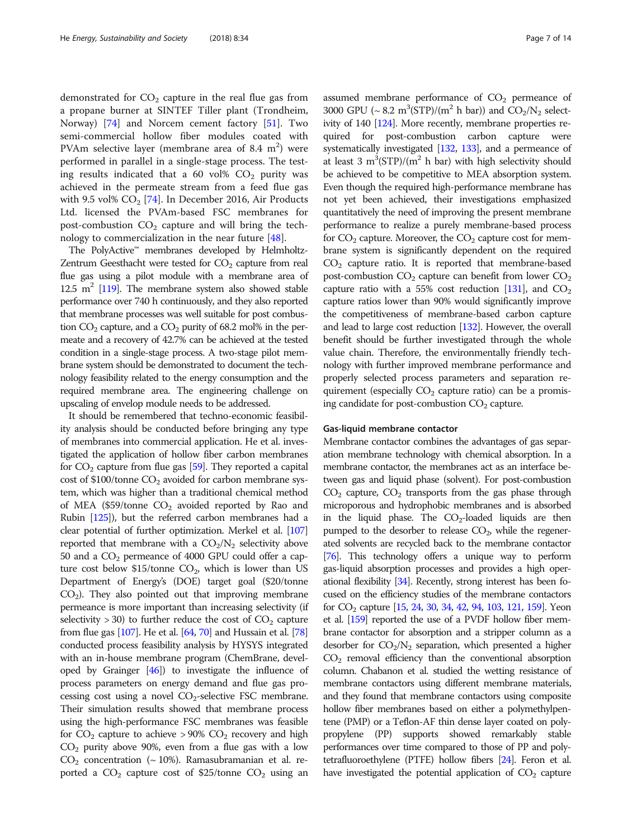demonstrated for  $CO<sub>2</sub>$  capture in the real flue gas from a propane burner at SINTEF Tiller plant (Trondheim, Norway) [[74](#page-11-0)] and Norcem cement factory [\[51](#page-11-0)]. Two semi-commercial hollow fiber modules coated with PVAm selective layer (membrane area of 8.4  $m<sup>2</sup>$ ) were performed in parallel in a single-stage process. The testing results indicated that a 60 vol%  $CO<sub>2</sub>$  purity was achieved in the permeate stream from a feed flue gas with 9.5 vol%  $CO<sub>2</sub>$  [[74](#page-11-0)]. In December 2016, Air Products Ltd. licensed the PVAm-based FSC membranes for post-combustion  $CO<sub>2</sub>$  capture and will bring the technology to commercialization in the near future [[48\]](#page-10-0).

The PolyActive™ membranes developed by Helmholtz-Zentrum Geesthacht were tested for  $CO<sub>2</sub>$  capture from real flue gas using a pilot module with a membrane area of 12.5  $m^2$  [\[119\]](#page-12-0). The membrane system also showed stable performance over 740 h continuously, and they also reported that membrane processes was well suitable for post combustion  $CO<sub>2</sub>$  capture, and a  $CO<sub>2</sub>$  purity of 68.2 mol% in the permeate and a recovery of 42.7% can be achieved at the tested condition in a single-stage process. A two-stage pilot membrane system should be demonstrated to document the technology feasibility related to the energy consumption and the required membrane area. The engineering challenge on upscaling of envelop module needs to be addressed.

It should be remembered that techno-economic feasibility analysis should be conducted before bringing any type of membranes into commercial application. He et al. investigated the application of hollow fiber carbon membranes for  $CO<sub>2</sub>$  capture from flue gas [\[59\]](#page-11-0). They reported a capital cost of \$100/tonne  $CO<sub>2</sub>$  avoided for carbon membrane system, which was higher than a traditional chemical method of MEA (\$59/tonne  $CO<sub>2</sub>$  avoided reported by Rao and Rubin [\[125\]](#page-12-0)), but the referred carbon membranes had a clear potential of further optimization. Merkel et al. [\[107](#page-12-0)] reported that membrane with a  $CO<sub>2</sub>/N<sub>2</sub>$  selectivity above 50 and a  $CO<sub>2</sub>$  permeance of 4000 GPU could offer a capture cost below  $$15$ /tonne CO<sub>2</sub>, which is lower than US Department of Energy's (DOE) target goal (\$20/tonne  $CO<sub>2</sub>$ ). They also pointed out that improving membrane permeance is more important than increasing selectivity (if selectivity  $>$  30) to further reduce the cost of  $CO<sub>2</sub>$  capture from flue gas [\[107\]](#page-12-0). He et al. [[64,](#page-11-0) [70](#page-11-0)] and Hussain et al. [\[78](#page-11-0)] conducted process feasibility analysis by HYSYS integrated with an in-house membrane program (ChemBrane, developed by Grainger [[46](#page-10-0)]) to investigate the influence of process parameters on energy demand and flue gas processing cost using a novel  $CO_2$ -selective FSC membrane. Their simulation results showed that membrane process using the high-performance FSC membranes was feasible for  $CO_2$  capture to achieve > 90%  $CO_2$  recovery and high  $CO<sub>2</sub>$  purity above 90%, even from a flue gas with a low  $CO<sub>2</sub>$  concentration (~10%). Ramasubramanian et al. reported a  $CO_2$  capture cost of \$25/tonne  $CO_2$  using an

assumed membrane performance of  $CO<sub>2</sub>$  permeance of 3000 GPU ( $\sim 8.2$  m<sup>3</sup>(STP)/(m<sup>2</sup> h bar)) and CO<sub>2</sub>/N<sub>2</sub> selectivity of 140 [[124\]](#page-12-0). More recently, membrane properties required for post-combustion carbon capture were systematically investigated [\[132](#page-12-0), [133](#page-12-0)], and a permeance of at least 3  $m^3$ (STP)/( $m^2$  h bar) with high selectivity should be achieved to be competitive to MEA absorption system. Even though the required high-performance membrane has not yet been achieved, their investigations emphasized quantitatively the need of improving the present membrane performance to realize a purely membrane-based process for  $CO<sub>2</sub>$  capture. Moreover, the  $CO<sub>2</sub>$  capture cost for membrane system is significantly dependent on the required  $CO<sub>2</sub>$  capture ratio. It is reported that membrane-based post-combustion  $CO<sub>2</sub>$  capture can benefit from lower  $CO<sub>2</sub>$ capture ratio with a 55% cost reduction [\[131](#page-12-0)], and  $CO<sub>2</sub>$ capture ratios lower than 90% would significantly improve the competitiveness of membrane-based carbon capture and lead to large cost reduction [[132\]](#page-12-0). However, the overall benefit should be further investigated through the whole value chain. Therefore, the environmentally friendly technology with further improved membrane performance and properly selected process parameters and separation requirement (especially  $CO<sub>2</sub>$  capture ratio) can be a promising candidate for post-combustion  $CO<sub>2</sub>$  capture.

#### Gas-liquid membrane contactor

Membrane contactor combines the advantages of gas separation membrane technology with chemical absorption. In a membrane contactor, the membranes act as an interface between gas and liquid phase (solvent). For post-combustion  $CO<sub>2</sub>$  capture,  $CO<sub>2</sub>$  transports from the gas phase through microporous and hydrophobic membranes and is absorbed in the liquid phase. The  $CO<sub>2</sub>$ -loaded liquids are then pumped to the desorber to release  $CO<sub>2</sub>$ , while the regenerated solvents are recycled back to the membrane contactor [[76\]](#page-11-0). This technology offers a unique way to perform gas-liquid absorption processes and provides a high operational flexibility [[34\]](#page-10-0). Recently, strong interest has been focused on the efficiency studies of the membrane contactors for  $CO_2$  capture [\[15,](#page-10-0) [24,](#page-10-0) [30](#page-10-0), [34](#page-10-0), [42,](#page-10-0) [94,](#page-11-0) [103,](#page-12-0) [121,](#page-12-0) [159\]](#page-13-0). Yeon et al. [\[159](#page-13-0)] reported the use of a PVDF hollow fiber membrane contactor for absorption and a stripper column as a desorber for  $CO<sub>2</sub>/N<sub>2</sub>$  separation, which presented a higher  $CO<sub>2</sub>$  removal efficiency than the conventional absorption column. Chabanon et al. studied the wetting resistance of membrane contactors using different membrane materials, and they found that membrane contactors using composite hollow fiber membranes based on either a polymethylpentene (PMP) or a Teflon-AF thin dense layer coated on polypropylene (PP) supports showed remarkably stable performances over time compared to those of PP and polytetrafluoroethylene (PTFE) hollow fibers [[24\]](#page-10-0). Feron et al. have investigated the potential application of  $CO<sub>2</sub>$  capture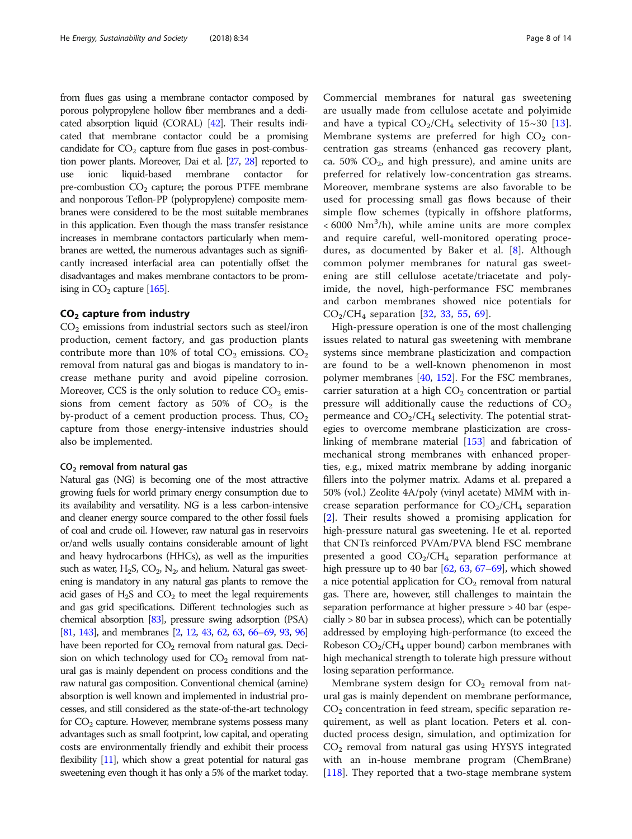from flues gas using a membrane contactor composed by porous polypropylene hollow fiber membranes and a dedicated absorption liquid (CORAL) [\[42\]](#page-10-0). Their results indicated that membrane contactor could be a promising candidate for  $CO<sub>2</sub>$  capture from flue gases in post-combustion power plants. Moreover, Dai et al. [\[27](#page-10-0), [28\]](#page-10-0) reported to use ionic liquid-based membrane contactor for pre-combustion  $CO<sub>2</sub>$  capture; the porous PTFE membrane and nonporous Teflon-PP (polypropylene) composite membranes were considered to be the most suitable membranes in this application. Even though the mass transfer resistance increases in membrane contactors particularly when membranes are wetted, the numerous advantages such as significantly increased interfacial area can potentially offset the disadvantages and makes membrane contactors to be promising in  $CO<sub>2</sub>$  capture [\[165\]](#page-13-0).

## $CO<sub>2</sub>$  capture from industry

 $CO<sub>2</sub>$  emissions from industrial sectors such as steel/iron production, cement factory, and gas production plants contribute more than 10% of total  $CO_2$  emissions.  $CO_2$ removal from natural gas and biogas is mandatory to increase methane purity and avoid pipeline corrosion. Moreover, CCS is the only solution to reduce  $CO<sub>2</sub>$  emissions from cement factory as  $50\%$  of  $CO<sub>2</sub>$  is the by-product of a cement production process. Thus,  $CO<sub>2</sub>$ capture from those energy-intensive industries should also be implemented.

#### CO2 removal from natural gas

Natural gas (NG) is becoming one of the most attractive growing fuels for world primary energy consumption due to its availability and versatility. NG is a less carbon-intensive and cleaner energy source compared to the other fossil fuels of coal and crude oil. However, raw natural gas in reservoirs or/and wells usually contains considerable amount of light and heavy hydrocarbons (HHCs), as well as the impurities such as water,  $H_2S$ ,  $CO_2$ ,  $N_2$ , and helium. Natural gas sweetening is mandatory in any natural gas plants to remove the acid gases of  $H_2S$  and  $CO_2$  to meet the legal requirements and gas grid specifications. Different technologies such as chemical absorption [[83\]](#page-11-0), pressure swing adsorption (PSA) [[81,](#page-11-0) [143](#page-12-0)], and membranes [\[2](#page-10-0), [12,](#page-10-0) [43](#page-10-0), [62,](#page-11-0) [63,](#page-11-0) [66](#page-11-0)–[69](#page-11-0), [93,](#page-11-0) [96](#page-11-0)] have been reported for  $CO<sub>2</sub>$  removal from natural gas. Decision on which technology used for  $CO<sub>2</sub>$  removal from natural gas is mainly dependent on process conditions and the raw natural gas composition. Conventional chemical (amine) absorption is well known and implemented in industrial processes, and still considered as the state-of-the-art technology for  $CO<sub>2</sub>$  capture. However, membrane systems possess many advantages such as small footprint, low capital, and operating costs are environmentally friendly and exhibit their process flexibility [[11\]](#page-10-0), which show a great potential for natural gas sweetening even though it has only a 5% of the market today.

Commercial membranes for natural gas sweetening are usually made from cellulose acetate and polyimide and have a typical  $CO<sub>2</sub>/CH<sub>4</sub>$  selectivity of 15~30 [\[13](#page-10-0)]. Membrane systems are preferred for high  $CO<sub>2</sub>$  concentration gas streams (enhanced gas recovery plant, ca. 50%  $CO<sub>2</sub>$ , and high pressure), and amine units are preferred for relatively low-concentration gas streams. Moreover, membrane systems are also favorable to be used for processing small gas flows because of their simple flow schemes (typically in offshore platforms,  $<$  6000 Nm<sup>3</sup>/h), while amine units are more complex and require careful, well-monitored operating procedures, as documented by Baker et al. [\[8](#page-10-0)]. Although common polymer membranes for natural gas sweetening are still cellulose acetate/triacetate and polyimide, the novel, high-performance FSC membranes and carbon membranes showed nice potentials for  $CO_2/CH_4$  separation [[32,](#page-10-0) [33](#page-10-0), [55](#page-11-0), [69](#page-11-0)].

High-pressure operation is one of the most challenging issues related to natural gas sweetening with membrane systems since membrane plasticization and compaction are found to be a well-known phenomenon in most polymer membranes [[40,](#page-10-0) [152\]](#page-13-0). For the FSC membranes, carrier saturation at a high  $CO<sub>2</sub>$  concentration or partial pressure will additionally cause the reductions of  $CO<sub>2</sub>$ permeance and  $CO<sub>2</sub>/CH<sub>4</sub>$  selectivity. The potential strategies to overcome membrane plasticization are crosslinking of membrane material [[153\]](#page-13-0) and fabrication of mechanical strong membranes with enhanced properties, e.g., mixed matrix membrane by adding inorganic fillers into the polymer matrix. Adams et al. prepared a 50% (vol.) Zeolite 4A/poly (vinyl acetate) MMM with increase separation performance for  $CO<sub>2</sub>/CH<sub>4</sub>$  separation [[2\]](#page-10-0). Their results showed a promising application for high-pressure natural gas sweetening. He et al. reported that CNTs reinforced PVAm/PVA blend FSC membrane presented a good  $CO<sub>2</sub>/CH<sub>4</sub>$  separation performance at high pressure up to 40 bar  $[62, 63, 67-69]$  $[62, 63, 67-69]$  $[62, 63, 67-69]$  $[62, 63, 67-69]$  $[62, 63, 67-69]$  $[62, 63, 67-69]$  $[62, 63, 67-69]$  $[62, 63, 67-69]$ , which showed a nice potential application for  $CO<sub>2</sub>$  removal from natural gas. There are, however, still challenges to maintain the separation performance at higher pressure > 40 bar (especially > 80 bar in subsea process), which can be potentially addressed by employing high-performance (to exceed the Robeson  $CO<sub>2</sub>/CH<sub>4</sub>$  upper bound) carbon membranes with high mechanical strength to tolerate high pressure without losing separation performance.

Membrane system design for  $CO<sub>2</sub>$  removal from natural gas is mainly dependent on membrane performance,  $CO<sub>2</sub>$  concentration in feed stream, specific separation requirement, as well as plant location. Peters et al. conducted process design, simulation, and optimization for  $CO<sub>2</sub>$  removal from natural gas using HYSYS integrated with an in-house membrane program (ChemBrane) [[118\]](#page-12-0). They reported that a two-stage membrane system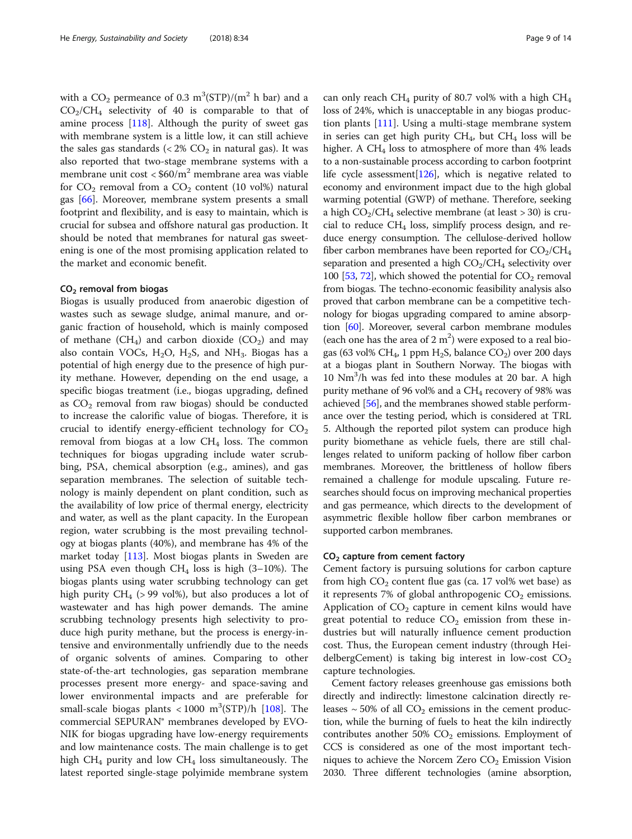with a  $\rm CO_2$  permeance of 0.3  $\rm m^3(STP)/(m^2$  h bar) and a  $CO<sub>2</sub>/CH<sub>4</sub>$  selectivity of 40 is comparable to that of amine process [\[118\]](#page-12-0). Although the purity of sweet gas with membrane system is a little low, it can still achieve the sales gas standards  $(< 2\%$  CO<sub>2</sub> in natural gas). It was also reported that two-stage membrane systems with a membrane unit cost  $\langle 460/m^2 \rangle$  membrane area was viable for  $CO_2$  removal from a  $CO_2$  content (10 vol%) natural gas [\[66\]](#page-11-0). Moreover, membrane system presents a small footprint and flexibility, and is easy to maintain, which is crucial for subsea and offshore natural gas production. It should be noted that membranes for natural gas sweetening is one of the most promising application related to the market and economic benefit.

## CO2 removal from biogas

Biogas is usually produced from anaerobic digestion of wastes such as sewage sludge, animal manure, and organic fraction of household, which is mainly composed of methane  $(CH_4)$  and carbon dioxide  $(CO_2)$  and may also contain VOCs,  $H_2O$ ,  $H_2S$ , and  $NH_3$ . Biogas has a potential of high energy due to the presence of high purity methane. However, depending on the end usage, a specific biogas treatment (i.e., biogas upgrading, defined as  $CO<sub>2</sub>$  removal from raw biogas) should be conducted to increase the calorific value of biogas. Therefore, it is crucial to identify energy-efficient technology for  $CO<sub>2</sub>$ removal from biogas at a low  $CH<sub>4</sub>$  loss. The common techniques for biogas upgrading include water scrubbing, PSA, chemical absorption (e.g., amines), and gas separation membranes. The selection of suitable technology is mainly dependent on plant condition, such as the availability of low price of thermal energy, electricity and water, as well as the plant capacity. In the European region, water scrubbing is the most prevailing technology at biogas plants (40%), and membrane has 4% of the market today [\[113\]](#page-12-0). Most biogas plants in Sweden are using PSA even though  $CH<sub>4</sub>$  loss is high (3–10%). The biogas plants using water scrubbing technology can get high purity  $CH_4$  (> 99 vol%), but also produces a lot of wastewater and has high power demands. The amine scrubbing technology presents high selectivity to produce high purity methane, but the process is energy-intensive and environmentally unfriendly due to the needs of organic solvents of amines. Comparing to other state-of-the-art technologies, gas separation membrane processes present more energy- and space-saving and lower environmental impacts and are preferable for small-scale biogas plants  $<$  1000 m<sup>3</sup>(STP)/h [[108](#page-12-0)]. The commercial SEPURAN® membranes developed by EVO-NIK for biogas upgrading have low-energy requirements and low maintenance costs. The main challenge is to get high  $CH_4$  purity and low  $CH_4$  loss simultaneously. The latest reported single-stage polyimide membrane system

can only reach CH<sub>4</sub> purity of 80.7 vol% with a high CH<sub>4</sub> loss of 24%, which is unacceptable in any biogas production plants [[111\]](#page-12-0). Using a multi-stage membrane system in series can get high purity  $CH_4$ , but  $CH_4$  loss will be higher. A CH<sub>4</sub> loss to atmosphere of more than  $4\%$  leads to a non-sustainable process according to carbon footprint life cycle assessment  $[126]$ , which is negative related to economy and environment impact due to the high global warming potential (GWP) of methane. Therefore, seeking a high  $CO<sub>2</sub>/CH<sub>4</sub>$  selective membrane (at least > 30) is crucial to reduce  $CH_4$  loss, simplify process design, and reduce energy consumption. The cellulose-derived hollow fiber carbon membranes have been reported for  $CO<sub>2</sub>/CH<sub>4</sub>$ separation and presented a high  $CO<sub>2</sub>/CH<sub>4</sub>$  selectivity over 100 [\[53,](#page-11-0) [72\]](#page-11-0), which showed the potential for  $CO<sub>2</sub>$  removal from biogas. The techno-economic feasibility analysis also proved that carbon membrane can be a competitive technology for biogas upgrading compared to amine absorption [\[60\]](#page-11-0). Moreover, several carbon membrane modules (each one has the area of  $2 \text{ m}^2$ ) were exposed to a real biogas (63 vol% CH<sub>4</sub>, 1 ppm H<sub>2</sub>S, balance CO<sub>2</sub>) over 200 days at a biogas plant in Southern Norway. The biogas with 10 Nm3 /h was fed into these modules at 20 bar. A high purity methane of 96 vol% and a  $CH<sub>4</sub>$  recovery of 98% was achieved [\[56\]](#page-11-0), and the membranes showed stable performance over the testing period, which is considered at TRL 5. Although the reported pilot system can produce high purity biomethane as vehicle fuels, there are still challenges related to uniform packing of hollow fiber carbon membranes. Moreover, the brittleness of hollow fibers remained a challenge for module upscaling. Future researches should focus on improving mechanical properties and gas permeance, which directs to the development of asymmetric flexible hollow fiber carbon membranes or supported carbon membranes.

## CO<sub>2</sub> capture from cement factory

Cement factory is pursuing solutions for carbon capture from high  $CO<sub>2</sub>$  content flue gas (ca. 17 vol% wet base) as it represents 7% of global anthropogenic  $CO<sub>2</sub>$  emissions. Application of  $CO<sub>2</sub>$  capture in cement kilns would have great potential to reduce  $CO<sub>2</sub>$  emission from these industries but will naturally influence cement production cost. Thus, the European cement industry (through HeidelbergCement) is taking big interest in low-cost  $CO<sub>2</sub>$ capture technologies.

Cement factory releases greenhouse gas emissions both directly and indirectly: limestone calcination directly releases  $\sim$  50% of all CO<sub>2</sub> emissions in the cement production, while the burning of fuels to heat the kiln indirectly contributes another 50%  $CO<sub>2</sub>$  emissions. Employment of CCS is considered as one of the most important techniques to achieve the Norcem Zero  $CO<sub>2</sub>$  Emission Vision 2030. Three different technologies (amine absorption,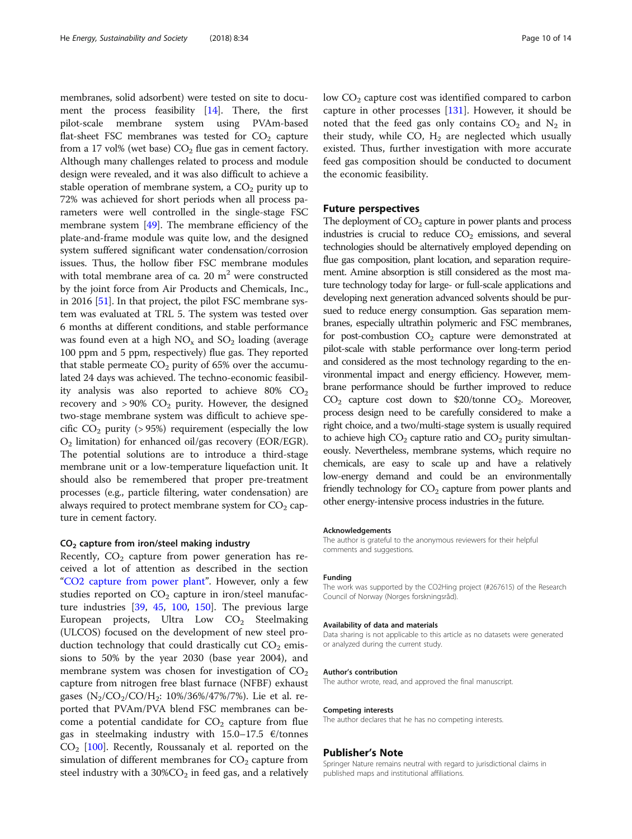membranes, solid adsorbent) were tested on site to document the process feasibility  $[14]$ . There, the first pilot-scale membrane system using PVAm-based flat-sheet FSC membranes was tested for  $CO<sub>2</sub>$  capture from a 17 vol% (wet base)  $CO<sub>2</sub>$  flue gas in cement factory. Although many challenges related to process and module design were revealed, and it was also difficult to achieve a stable operation of membrane system, a  $CO<sub>2</sub>$  purity up to 72% was achieved for short periods when all process parameters were well controlled in the single-stage FSC membrane system [\[49\]](#page-11-0). The membrane efficiency of the plate-and-frame module was quite low, and the designed system suffered significant water condensation/corrosion issues. Thus, the hollow fiber FSC membrane modules with total membrane area of ca. 20  $m<sup>2</sup>$  were constructed by the joint force from Air Products and Chemicals, Inc., in 2016 [[51](#page-11-0)]. In that project, the pilot FSC membrane system was evaluated at TRL 5. The system was tested over 6 months at different conditions, and stable performance was found even at a high  $NO<sub>x</sub>$  and  $SO<sub>2</sub>$  loading (average 100 ppm and 5 ppm, respectively) flue gas. They reported that stable permeate  $CO<sub>2</sub>$  purity of 65% over the accumulated 24 days was achieved. The techno-economic feasibility analysis was also reported to achieve 80%  $CO<sub>2</sub>$ recovery and  $> 90\%$  CO<sub>2</sub> purity. However, the designed two-stage membrane system was difficult to achieve specific  $CO<sub>2</sub>$  purity (> 95%) requirement (especially the low  $O<sub>2</sub>$  limitation) for enhanced oil/gas recovery (EOR/EGR). The potential solutions are to introduce a third-stage membrane unit or a low-temperature liquefaction unit. It should also be remembered that proper pre-treatment processes (e.g., particle filtering, water condensation) are always required to protect membrane system for  $CO<sub>2</sub>$  capture in cement factory.

## CO2 capture from iron/steel making industry

Recently,  $CO<sub>2</sub>$  capture from power generation has received a lot of attention as described in the section "[CO2 capture from power plant](#page-5-0)". However, only a few studies reported on  $CO<sub>2</sub>$  capture in iron/steel manufacture industries [\[39,](#page-10-0) [45](#page-10-0), [100](#page-11-0), [150\]](#page-12-0). The previous large European projects, Ultra Low  $CO<sub>2</sub>$  Steelmaking (ULCOS) focused on the development of new steel production technology that could drastically cut  $CO<sub>2</sub>$  emissions to 50% by the year 2030 (base year 2004), and membrane system was chosen for investigation of  $CO<sub>2</sub>$ capture from nitrogen free blast furnace (NFBF) exhaust gases  $(N_2/CO_2/CO/H_2: 10\%/36\%/47\%/7\%)$ . Lie et al. reported that PVAm/PVA blend FSC membranes can become a potential candidate for  $CO<sub>2</sub>$  capture from flue gas in steelmaking industry with  $15.0-17.5$   $\epsilon$ /tonnes  $CO<sub>2</sub>$  [\[100\]](#page-11-0). Recently, Roussanaly et al. reported on the simulation of different membranes for  $CO<sub>2</sub>$  capture from steel industry with a  $30\%$ CO<sub>2</sub> in feed gas, and a relatively low  $CO<sub>2</sub>$  capture cost was identified compared to carbon capture in other processes  $[131]$ . However, it should be noted that the feed gas only contains  $CO<sub>2</sub>$  and  $N<sub>2</sub>$  in their study, while CO,  $H_2$  are neglected which usually existed. Thus, further investigation with more accurate feed gas composition should be conducted to document the economic feasibility.

## Future perspectives

The deployment of  $CO<sub>2</sub>$  capture in power plants and process industries is crucial to reduce  $CO<sub>2</sub>$  emissions, and several technologies should be alternatively employed depending on flue gas composition, plant location, and separation requirement. Amine absorption is still considered as the most mature technology today for large- or full-scale applications and developing next generation advanced solvents should be pursued to reduce energy consumption. Gas separation membranes, especially ultrathin polymeric and FSC membranes, for post-combustion  $CO<sub>2</sub>$  capture were demonstrated at pilot-scale with stable performance over long-term period and considered as the most technology regarding to the environmental impact and energy efficiency. However, membrane performance should be further improved to reduce  $CO<sub>2</sub>$  capture cost down to \$20/tonne  $CO<sub>2</sub>$ . Moreover, process design need to be carefully considered to make a right choice, and a two/multi-stage system is usually required to achieve high  $CO<sub>2</sub>$  capture ratio and  $CO<sub>2</sub>$  purity simultaneously. Nevertheless, membrane systems, which require no chemicals, are easy to scale up and have a relatively low-energy demand and could be an environmentally friendly technology for  $CO<sub>2</sub>$  capture from power plants and other energy-intensive process industries in the future.

#### Acknowledgements

The author is grateful to the anonymous reviewers for their helpful comments and suggestions.

#### Funding

The work was supported by the CO2Hing project (#267615) of the Research Council of Norway (Norges forskningsråd).

#### Availability of data and materials

Data sharing is not applicable to this article as no datasets were generated or analyzed during the current study.

#### Author's contribution

The author wrote, read, and approved the final manuscript.

#### Competing interests

The author declares that he has no competing interests.

#### Publisher's Note

Springer Nature remains neutral with regard to jurisdictional claims in published maps and institutional affiliations.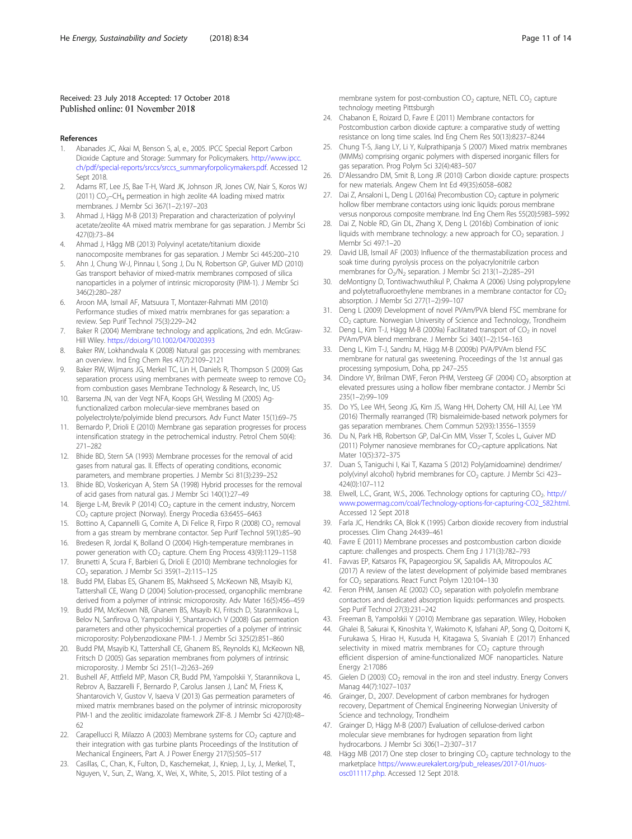#### <span id="page-10-0"></span>Received: 23 July 2018 Accepted: 17 October 2018 Published online: 01 November 2018

#### References

- 1. Abanades JC, Akai M, Benson S, al, e., 2005. IPCC Special Report Carbon Dioxide Capture and Storage: Summary for Policymakers. [http://www.ipcc.](http://www.ipcc.ch/pdf/special-reports/srccs/srccs_summaryforpolicymakers.pdf) [ch/pdf/special-reports/srccs/srccs\\_summaryforpolicymakers.pdf](http://www.ipcc.ch/pdf/special-reports/srccs/srccs_summaryforpolicymakers.pdf). Accessed 12 Sept 2018
- 2. Adams RT, Lee JS, Bae T-H, Ward JK, Johnson JR, Jones CW, Nair S, Koros WJ (2011)  $CO<sub>2</sub>-CH<sub>4</sub>$  permeation in high zeolite 4A loading mixed matrix membranes. J Membr Sci 367(1–2):197–203
- 3. Ahmad J, Hägg M-B (2013) Preparation and characterization of polyvinyl acetate/zeolite 4A mixed matrix membrane for gas separation. J Membr Sci 427(0):73–84
- 4. Ahmad J, Hågg MB (2013) Polyvinyl acetate/titanium dioxide nanocomposite membranes for gas separation. J Membr Sci 445:200–210
- 5. Ahn J, Chung W-J, Pinnau I, Song J, Du N, Robertson GP, Guiver MD (2010) Gas transport behavior of mixed-matrix membranes composed of silica nanoparticles in a polymer of intrinsic microporosity (PIM-1). J Membr Sci 346(2):280–287
- 6. Aroon MA, Ismail AF, Matsuura T, Montazer-Rahmati MM (2010) Performance studies of mixed matrix membranes for gas separation: a review. Sep Purif Technol 75(3):229–242
- 7. Baker R (2004) Membrane technology and applications, 2nd edn. McGraw-Hill Wiley. <https://doi.org/10.1002/0470020393>
- 8. Baker RW, Lokhandwala K (2008) Natural gas processing with membranes: an overview. Ind Eng Chem Res 47(7):2109–2121
- 9. Baker RW, Wijmans JG, Merkel TC, Lin H, Daniels R, Thompson S (2009) Gas separation process using membranes with permeate sweep to remove  $CO<sub>2</sub>$ from combustion gases Membrane Technology & Research, Inc, US
- 10. Barsema JN, van der Vegt NFA, Koops GH, Wessling M (2005) Agfunctionalized carbon molecular-sieve membranes based on polyelectrolyte/polyimide blend precursors. Adv Funct Mater 15(1):69–75
- 11. Bernardo P, Drioli E (2010) Membrane gas separation progresses for process intensification strategy in the petrochemical industry. Petrol Chem 50(4): 271–282
- 12. Bhide BD, Stern SA (1993) Membrane processes for the removal of acid gases from natural gas. II. Effects of operating conditions, economic parameters, and membrane properties. J Membr Sci 81(3):239–252
- 13. Bhide BD, Voskericyan A, Stern SA (1998) Hybrid processes for the removal of acid gases from natural gas. J Membr Sci 140(1):27–49
- 14. Bjerge L-M, Brevik P (2014) CO<sub>2</sub> capture in the cement industry, Norcem CO2 capture project (Norway). Energy Procedia 63:6455–6463
- 15. Bottino A, Capannelli G, Comite A, Di Felice R, Firpo R (2008) CO<sub>2</sub> removal from a gas stream by membrane contactor. Sep Purif Technol 59(1):85–90
- 16. Bredesen R, Jordal K, Bolland O (2004) High-temperature membranes in power generation with CO<sub>2</sub> capture. Chem Eng Process 43(9):1129-1158
- 17. Brunetti A, Scura F, Barbieri G, Drioli E (2010) Membrane technologies for CO2 separation. J Membr Sci 359(1–2):115–125
- 18. Budd PM, Elabas ES, Ghanem BS, Makhseed S, McKeown NB, Msayib KJ, Tattershall CE, Wang D (2004) Solution-processed, organophilic membrane derived from a polymer of intrinsic microporosity. Adv Mater 16(5):456–459
- 19. Budd PM, McKeown NB, Ghanem BS, Msayib KJ, Fritsch D, Starannikova L, Belov N, Sanfirova O, Yampolskii Y, Shantarovich V (2008) Gas permeation parameters and other physicochemical properties of a polymer of intrinsic microporosity: Polybenzodioxane PIM-1. J Membr Sci 325(2):851–860
- 20. Budd PM, Msayib KJ, Tattershall CE, Ghanem BS, Reynolds KJ, McKeown NB, Fritsch D (2005) Gas separation membranes from polymers of intrinsic microporosity. J Membr Sci 251(1–2):263–269
- 21. Bushell AF, Attfield MP, Mason CR, Budd PM, Yampolskii Y, Starannikova L, Rebrov A, Bazzarelli F, Bernardo P, Carolus Jansen J, Lanč M, Friess K, Shantarovich V, Gustov V, Isaeva V (2013) Gas permeation parameters of mixed matrix membranes based on the polymer of intrinsic microporosity PIM-1 and the zeolitic imidazolate framework ZIF-8. J Membr Sci 427(0):48– 62
- 22. Carapellucci R, Milazzo A (2003) Membrane systems for  $CO<sub>2</sub>$  capture and their integration with gas turbine plants Proceedings of the Institution of Mechanical Engineers, Part A. J Power Energy 217(5):505–517
- 23. Casillas, C., Chan, K., Fulton, D., Kaschemekat, J., Kniep, J., Ly, J., Merkel, T., Nguyen, V., Sun, Z., Wang, X., Wei, X., White, S., 2015. Pilot testing of a

membrane system for post-combustion  $CO<sub>2</sub>$  capture, NETL  $CO<sub>2</sub>$  capture technology meeting Pittsburgh

- 24. Chabanon E, Roizard D, Favre E (2011) Membrane contactors for Postcombustion carbon dioxide capture: a comparative study of wetting resistance on long time scales. Ind Eng Chem Res 50(13):8237–8244
- 25. Chung T-S, Jiang LY, Li Y, Kulprathipanja S (2007) Mixed matrix membranes (MMMs) comprising organic polymers with dispersed inorganic fillers for gas separation. Prog Polym Sci 32(4):483–507
- 26. D'Alessandro DM, Smit B, Long JR (2010) Carbon dioxide capture: prospects for new materials. Angew Chem Int Ed 49(35):6058–6082
- 27. Dai Z, Ansaloni L, Deng L (2016a) Precombustion CO<sub>2</sub> capture in polymeric hollow fiber membrane contactors using ionic liquids: porous membrane versus nonporous composite membrane. Ind Eng Chem Res 55(20):5983–5992
- 28. Dai Z, Noble RD, Gin DL, Zhang X, Deng L (2016b) Combination of ionic liquids with membrane technology: a new approach for  $CO<sub>2</sub>$  separation. J Membr Sci 497:1–20
- 29. David LIB, Ismail AF (2003) Influence of the thermastabilization process and soak time during pyrolysis process on the polyacrylonitrile carbon membranes for  $O_2/N_2$  separation. J Membr Sci 213(1-2):285-291
- 30. deMontigny D, Tontiwachwuthikul P, Chakma A (2006) Using polypropylene and polytetrafluoroethylene membranes in a membrane contactor for  $CO<sub>2</sub>$ absorption. J Membr Sci 277(1–2):99–107
- 31. Deng L (2009) Development of novel PVAm/PVA blend FSC membrane for CO<sub>2</sub> capture. Norwegian University of Science and Technology, Trondheim
- 32. Deng L, Kim T-J, Hägg M-B (2009a) Facilitated transport of  $CO<sub>2</sub>$  in novel PVAm/PVA blend membrane. J Membr Sci 340(1–2):154–163
- 33. Deng L, Kim T-J, Sandru M, Hägg M-B (2009b) PVA/PVAm blend FSC membrane for natural gas sweetening. Proceedings of the 1st annual gas processing symposium, Doha, pp 247–255
- 34. Dindore VY, Brilman DWF, Feron PHM, Versteeg GF (2004) CO<sub>2</sub> absorption at elevated pressures using a hollow fiber membrane contactor. J Membr Sci 235(1–2):99–109
- 35. Do YS, Lee WH, Seong JG, Kim JS, Wang HH, Doherty CM, Hill AJ, Lee YM (2016) Thermally rearranged (TR) bismaleimide-based network polymers for gas separation membranes. Chem Commun 52(93):13556–13559
- 36. Du N, Park HB, Robertson GP, Dal-Cin MM, Visser T, Scoles L, Guiver MD (2011) Polymer nanosieve membranes for  $CO<sub>2</sub>$ -capture applications. Nat Mater 10(5):372–375
- 37. Duan S, Taniguchi I, Kai T, Kazama S (2012) Poly(amidoamine) dendrimer/ poly(vinyl alcohol) hybrid membranes for CO<sub>2</sub> capture. J Membr Sci 423-424(0):107–112
- 38. Elwell, L.C., Grant, W.S., 2006. Technology options for capturing CO<sub>2</sub>. [http://](http://www.powermag.com/coal/Technology-options-for-capturing-CO2_582.html) [www.powermag.com/coal/Technology-options-for-capturing-CO2\\_582.html](http://www.powermag.com/coal/Technology-options-for-capturing-CO2_582.html). Accessed 12 Sept 2018
- 39. Farla JC, Hendriks CA, Blok K (1995) Carbon dioxide recovery from industrial processes. Clim Chang 24:439–461
- Favre E (2011) Membrane processes and postcombustion carbon dioxide capture: challenges and prospects. Chem Eng J 171(3):782–793
- 41. Favvas EP, Katsaros FK, Papageorgiou SK, Sapalidis AA, Mitropoulos AC (2017) A review of the latest development of polyimide based membranes for CO<sub>2</sub> separations. React Funct Polym 120:104-130
- 42. Feron PHM, Jansen AE (2002)  $CO<sub>2</sub>$  separation with polyolefin membrane contactors and dedicated absorption liquids: performances and prospects. Sep Purif Technol 27(3):231–242
- 43. Freeman B, Yampolskii Y (2010) Membrane gas separation. Wiley, Hoboken
- 44. Ghalei B, Sakurai K, Kinoshita Y, Wakimoto K, Isfahani AP, Song Q, Doitomi K, Furukawa S, Hirao H, Kusuda H, Kitagawa S, Sivaniah E (2017) Enhanced selectivity in mixed matrix membranes for  $CO<sub>2</sub>$  capture through efficient dispersion of amine-functionalized MOF nanoparticles. Nature Energy 2:17086
- 45. Gielen D (2003)  $CO<sub>2</sub>$  removal in the iron and steel industry. Energy Convers Manag 44(7):1027–1037
- 46. Grainger, D., 2007. Development of carbon membranes for hydrogen recovery, Department of Chemical Engineering Norwegian University of Science and technology, Trondheim
- 47. Grainger D, Hägg M-B (2007) Evaluation of cellulose-derived carbon molecular sieve membranes for hydrogen separation from light hydrocarbons. J Membr Sci 306(1–2):307–317
- 48. Hägg MB (2017) One step closer to bringing  $CO<sub>2</sub>$  capture technology to the marketplace [https://www.eurekalert.org/pub\\_releases/2017-01/nuos](https://www.eurekalert.org/pub_releases/2017-01/nuos-osc011117.php)[osc011117.php](https://www.eurekalert.org/pub_releases/2017-01/nuos-osc011117.php). Accessed 12 Sept 2018.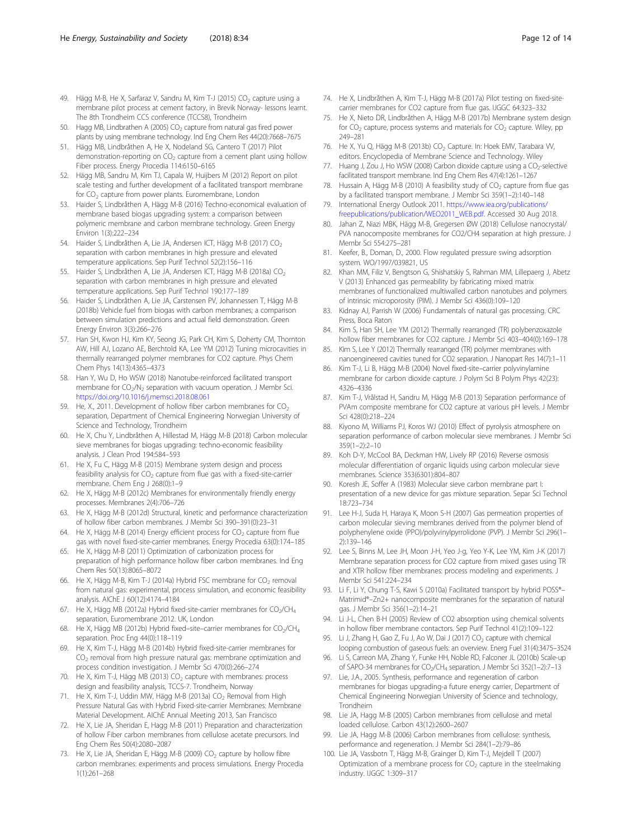- <span id="page-11-0"></span>49. Hägg M-B, He X, Sarfaraz V, Sandru M, Kim T-J (2015) CO<sub>2</sub> capture using a membrane pilot process at cement factory, in Brevik Norway- lessons learnt. The 8th Trondheim CCS conference (TCCS8), Trondheim
- 50. Hagg MB, Lindbrathen A (2005) CO<sub>2</sub> capture from natural gas fired power plants by using membrane technology. Ind Eng Chem Res 44(20):7668–7675
- 51. Hägg MB, Lindbråthen A, He X, Nodeland SG, Cantero T (2017) Pilot demonstration-reporting on  $CO<sub>2</sub>$  capture from a cement plant using hollow Fiber process. Energy Procedia 114:6150–6165
- 52. Hägg MB, Sandru M, Kim TJ, Capala W, Huijbers M (2012) Report on pilot scale testing and further development of a facilitated transport membrane for CO<sub>2</sub> capture from power plants. Euromembrane, London
- 53. Haider S, Lindbråthen A, Hägg M-B (2016) Techno-economical evaluation of membrane based biogas upgrading system: a comparison between polymeric membrane and carbon membrane technology. Green Energy Environ 1(3):222–234
- 54. Haider S, Lindbråthen A, Lie JA, Andersen ICT, Hägg M-B (2017) CO<sub>2</sub> separation with carbon membranes in high pressure and elevated temperature applications. Sep Purif Technol 52(2):156–116
- 55. Haider S, Lindbråthen A, Lie JA, Andersen ICT, Hägg M-B (2018a) CO<sub>2</sub> separation with carbon membranes in high pressure and elevated temperature applications. Sep Purif Technol 190:177–189
- 56. Haider S, Lindbråthen A, Lie JA, Carstensen PV, Johannessen T, Hägg M-B (2018b) Vehicle fuel from biogas with carbon membranes; a comparison between simulation predictions and actual field demonstration. Green Energy Environ 3(3):266–276
- 57. Han SH, Kwon HJ, Kim KY, Seong JG, Park CH, Kim S, Doherty CM, Thornton AW, Hill AJ, Lozano AE, Berchtold KA, Lee YM (2012) Tuning microcavities in thermally rearranged polymer membranes for CO2 capture. Phys Chem Chem Phys 14(13):4365–4373
- 58. Han Y, Wu D, Ho WSW (2018) Nanotube-reinforced facilitated transport membrane for CO<sub>2</sub>/N<sub>2</sub> separation with vacuum operation. J Membr Sci. <https://doi.org/10.1016/j.memsci.2018.08.061>
- 59. He, X., 2011. Development of hollow fiber carbon membranes for  $CO<sub>2</sub>$ separation, Department of Chemical Engineering Norwegian University of Science and Technology, Trondheim
- 60. He X, Chu Y, Lindbråthen A, Hillestad M, Hägg M-B (2018) Carbon molecular sieve membranes for biogas upgrading: techno-economic feasibility analysis. J Clean Prod 194:584–593
- 61. He X, Fu C, Hägg M-B (2015) Membrane system design and process feasibility analysis for CO<sub>2</sub> capture from flue gas with a fixed-site-carrier membrane. Chem Eng J 268(0):1–9
- 62. He X, Hägg M-B (2012c) Membranes for environmentally friendly energy processes. Membranes 2(4):706–726
- 63. He X, Hägg M-B (2012d) Structural, kinetic and performance characterization of hollow fiber carbon membranes. J Membr Sci 390–391(0):23–31
- 64. He X, Hägg M-B (2014) Energy efficient process for  $CO<sub>2</sub>$  capture from flue gas with novel fixed-site-carrier membranes. Energy Procedia 63(0):174–185
- 65. He X, Hägg M-B (2011) Optimization of carbonization process for preparation of high performance hollow fiber carbon membranes. Ind Eng Chem Res 50(13):8065–8072
- 66. He X, Hägg M-B, Kim T-J (2014a) Hybrid FSC membrane for CO<sub>2</sub> removal from natural gas: experimental, process simulation, and economic feasibility analysis. AIChE J 60(12):4174–4184
- 67. He X, Hägg MB (2012a) Hybrid fixed-site-carrier membranes for  $CO<sub>2</sub>/CH<sub>4</sub>$ separation, Euromembrane 2012. UK, London
- 68. He X, Hägg MB (2012b) Hybrid fixed–site–carrier membranes for  $CO<sub>2</sub>/CH<sub>4</sub>$ separation. Proc Eng 44(0):118–119
- 69. He X, Kim T-J, Hägg M-B (2014b) Hybrid fixed-site-carrier membranes for  $CO<sub>2</sub>$  removal from high pressure natural gas: membrane optimization and process condition investigation. J Membr Sci 470(0):266–274
- 70. He X, Kim T-J, Hägg MB (2013)  $CO<sub>2</sub>$  capture with membranes: process design and feasibility analysis, TCCS-7. Trondheim, Norway
- 71. He X, Kim T-J, Uddin MW, Hägg M-B (2013a)  $CO<sub>2</sub>$  Removal from High Pressure Natural Gas with Hybrid Fixed-site-carrier Membranes: Membrane Material Development. AIChE Annual Meeting 2013, San Francisco
- 72. He X, Lie JA, Sheridan E, Hagg M-B (2011) Preparation and characterization of hollow Fiber carbon membranes from cellulose acetate precursors. Ind Eng Chem Res 50(4):2080–2087
- 73. He X, Lie JA, Sheridan E, Hägg M-B (2009)  $CO<sub>2</sub>$  capture by hollow fibre carbon membranes: experiments and process simulations. Energy Procedia 1(1):261–268
- 74. He X, Lindbråthen A, Kim T-J, Hägg M-B (2017a) Pilot testing on fixed-sitecarrier membranes for CO2 capture from flue gas. IJGGC 64:323–332
- 75. He X, Nieto DR, Lindbråthen A, Hägg M-B (2017b) Membrane system design for  $CO<sub>2</sub>$  capture, process systems and materials for  $CO<sub>2</sub>$  capture. Wiley, pp 249–281
- 76. He X, Yu Q, Hägg M-B (2013b) CO<sub>2</sub> Capture. In: Hoek EMV, Tarabara W, editors. Encyclopedia of Membrane Science and Technology. Wiley
- 77. Huang J, Zou J, Ho WSW (2008) Carbon dioxide capture using a CO<sub>2</sub>-selective facilitated transport membrane. Ind Eng Chem Res 47(4):1261–1267
- 78. Hussain A, Hägg M-B (2010) A feasibility study of  $CO<sub>2</sub>$  capture from flue gas by a facilitated transport membrane. J Membr Sci 359(1–2):140–148
- 79. International Energy Outlook 2011. [https://www.iea.org/publications/](https://www.iea.org/publications/freepublications/publication/WEO2011_WEB.pdf) [freepublications/publication/WEO2011\\_WEB.pdf](https://www.iea.org/publications/freepublications/publication/WEO2011_WEB.pdf). Accessed 30 Aug 2018.
- 80. Jahan Z, Niazi MBK, Hägg M-B, Gregersen ØW (2018) Cellulose nanocrystal/ PVA nanocomposite membranes for CO2/CH4 separation at high pressure. J Membr Sci 554:275–281
- 81. Keefer, B., Doman, D., 2000. Flow regulated pressure swing adsorption system. WO/1997/039821, US
- 82. Khan MM, Filiz V, Bengtson G, Shishatskiy S, Rahman MM, Lillepaerg J, Abetz V (2013) Enhanced gas permeability by fabricating mixed matrix membranes of functionalized multiwalled carbon nanotubes and polymers of intrinsic microporosity (PIM). J Membr Sci 436(0):109–120
- 83. Kidnay AJ, Parrish W (2006) Fundamentals of natural gas processing. CRC Press, Boca Raton
- Kim S, Han SH, Lee YM (2012) Thermally rearranged (TR) polybenzoxazole hollow fiber membranes for CO2 capture. J Membr Sci 403–404(0):169–178
- 85. Kim S, Lee Y (2012) Thermally rearranged (TR) polymer membranes with nanoengineered cavities tuned for CO2 separation. J Nanopart Res 14(7):1–11
- 86. Kim T-J, Li B, Hägg M-B (2004) Novel fixed-site–carrier polyvinylamine membrane for carbon dioxide capture. J Polym Sci B Polym Phys 42(23): 4326–4336
- 87. Kim T-J, Vrålstad H, Sandru M, Hägg M-B (2013) Separation performance of PVAm composite membrane for CO2 capture at various pH levels. J Membr Sci 428(0):218–224
- 88. Kiyono M, Williams PJ, Koros WJ (2010) Effect of pyrolysis atmosphere on separation performance of carbon molecular sieve membranes. J Membr Sci 359(1–2):2–10
- 89. Koh D-Y, McCool BA, Deckman HW, Lively RP (2016) Reverse osmosis molecular differentiation of organic liquids using carbon molecular sieve membranes. Science 353(6301):804–807
- 90. Koresh JE, Soffer A (1983) Molecular sieve carbon membrane part I: presentation of a new device for gas mixture separation. Separ Sci Technol 18:723–734
- 91. Lee H-J, Suda H, Haraya K, Moon S-H (2007) Gas permeation properties of carbon molecular sieving membranes derived from the polymer blend of polyphenylene oxide (PPO)/polyvinylpyrrolidone (PVP). J Membr Sci 296(1– 2):139–146
- 92. Lee S, Binns M, Lee JH, Moon J-H, Yeo J-g, Yeo Y-K, Lee YM, Kim J-K (2017) Membrane separation process for CO2 capture from mixed gases using TR and XTR hollow fiber membranes: process modeling and experiments. J Membr Sci 541:224–234
- 93. Li F, Li Y, Chung T-S, Kawi S (2010a) Facilitated transport by hybrid POSS®-Matrimid®–Zn2+ nanocomposite membranes for the separation of natural gas. J Membr Sci 356(1–2):14–21
- 94. Li J-L, Chen B-H (2005) Review of CO2 absorption using chemical solvents in hollow fiber membrane contactors. Sep Purif Technol 41(2):109–122
- 95. Li J, Zhang H, Gao Z, Fu J, Ao W, Dai J (2017) CO<sub>2</sub> capture with chemical looping combustion of gaseous fuels: an overview. Energ Fuel 31(4):3475–3524
- 96. Li S, Carreon MA, Zhang Y, Funke HH, Noble RD, Falconer JL (2010b) Scale-up of SAPO-34 membranes for CO<sub>2</sub>/CH<sub>4</sub> separation. J Membr Sci 352(1-2):7-13
- 97. Lie, J.A., 2005. Synthesis, performance and regeneration of carbon membranes for biogas upgrading-a future energy carrier, Department of Chemical Engineering Norwegian University of Science and technology, Trondheim
- 98. Lie JA, Hagg M-B (2005) Carbon membranes from cellulose and metal loaded cellulose. Carbon 43(12):2600–2607
- 99. Lie JA, Hagg M-B (2006) Carbon membranes from cellulose: synthesis, performance and regeneration. J Membr Sci 284(1–2):79–86
- 100. Lie JA, Vassbotn T, Hägg M-B, Grainger D, Kim T-J, Mejdell T (2007) Optimization of a membrane process for  $CO<sub>2</sub>$  capture in the steelmaking industry. IJGGC 1:309–317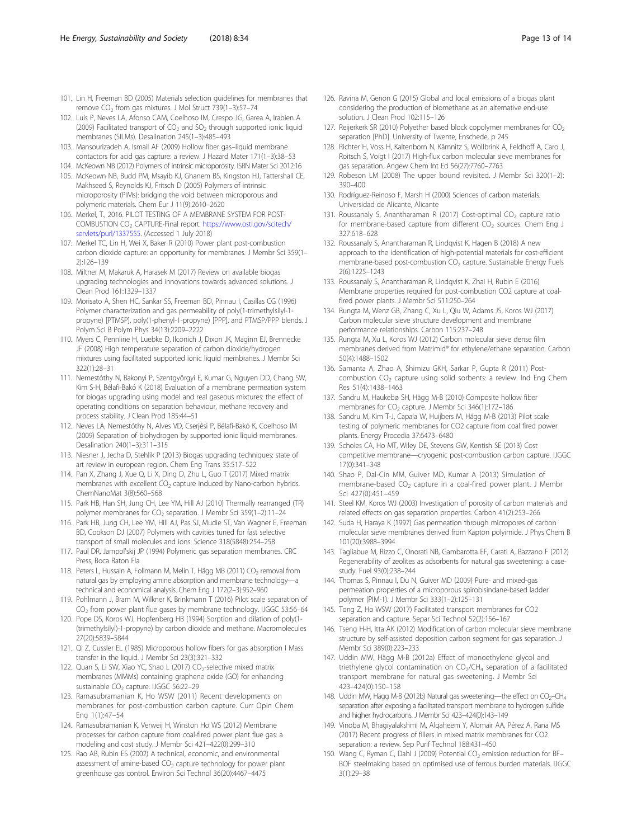- <span id="page-12-0"></span>101. Lin H, Freeman BD (2005) Materials selection guidelines for membranes that remove CO<sub>2</sub> from gas mixtures. J Mol Struct 739(1-3):57-74
- 102. Luis P, Neves LA, Afonso CAM, Coelhoso IM, Crespo JG, Garea A, Irabien A (2009) Facilitated transport of  $CO<sub>2</sub>$  and  $SO<sub>2</sub>$  through supported ionic liquid membranes (SILMs). Desalination 245(1–3):485–493
- 103. Mansourizadeh A, Ismail AF (2009) Hollow fiber gas–liquid membrane contactors for acid gas capture: a review. J Hazard Mater 171(1–3):38–53
- 104. McKeown NB (2012) Polymers of intrinsic microporosity. ISRN Mater Sci 2012:16 105. McKeown NB, Budd PM, Msayib KJ, Ghanem BS, Kingston HJ, Tattershall CE, Makhseed S, Reynolds KJ, Fritsch D (2005) Polymers of intrinsic
- microporosity (PIMs): bridging the void between microporous and polymeric materials. Chem Eur J 11(9):2610–2620 106. Merkel, T., 2016. PILOT TESTING OF A MEMBRANE SYSTEM FOR POST-
- COMBUSTION CO2 CAPTURE-Final report. [https://www.osti.gov/scitech/](https://www.osti.gov/scitech/servlets/purl/1337555) [servlets/purl/1337555.](https://www.osti.gov/scitech/servlets/purl/1337555) (Accessed 1 July 2018)
- 107. Merkel TC, Lin H, Wei X, Baker R (2010) Power plant post-combustion carbon dioxide capture: an opportunity for membranes. J Membr Sci 359(1– 2):126–139
- 108. Miltner M, Makaruk A, Harasek M (2017) Review on available biogas upgrading technologies and innovations towards advanced solutions. J Clean Prod 161:1329–1337
- 109. Morisato A, Shen HC, Sankar SS, Freeman BD, Pinnau I, Casillas CG (1996) Polymer characterization and gas permeability of poly(1-trimethylsilyl-1 propyne) [PTMSP], poly(1-phenyl-1-propyne) [PPP], and PTMSP/PPP blends. J Polym Sci B Polym Phys 34(13):2209–2222
- 110. Myers C, Pennline H, Luebke D, Ilconich J, Dixon JK, Maginn EJ, Brennecke JF (2008) High temperature separation of carbon dioxide/hydrogen mixtures using facilitated supported ionic liquid membranes. J Membr Sci 322(1):28–31
- 111. Nemestóthy N, Bakonyi P, Szentgyörgyi E, Kumar G, Nguyen DD, Chang SW, Kim S-H, Bélafi-Bakó K (2018) Evaluation of a membrane permeation system for biogas upgrading using model and real gaseous mixtures: the effect of operating conditions on separation behaviour, methane recovery and process stability. J Clean Prod 185:44–51
- 112. Neves LA, Nemestóthy N, Alves VD, Cserjési P, Bélafi-Bakó K, Coelhoso IM (2009) Separation of biohydrogen by supported ionic liquid membranes. Desalination 240(1–3):311–315
- 113. Niesner J, Jecha D, Stehlik P (2013) Biogas upgrading techniques: state of art review in european region. Chem Eng Trans 35:517–522
- 114. Pan X, Zhang J, Xue Q, Li X, Ding D, Zhu L, Guo T (2017) Mixed matrix membranes with excellent CO<sub>2</sub> capture induced by Nano-carbon hybrids. ChemNanoMat 3(8):560–568
- 115. Park HB, Han SH, Jung CH, Lee YM, Hill AJ (2010) Thermally rearranged (TR) polymer membranes for  $CO<sub>2</sub>$  separation. J Membr Sci 359(1-2):11-24
- 116. Park HB, Jung CH, Lee YM, Hill AJ, Pas SJ, Mudie ST, Van Wagner E, Freeman BD, Cookson DJ (2007) Polymers with cavities tuned for fast selective transport of small molecules and ions. Science 318(5848):254–258
- 117. Paul DR, Jampol'skij JP (1994) Polymeric gas separation membranes. CRC Press, Boca Raton Fla
- 118. Peters L, Hussain A, Follmann M, Melin T, Hägg MB (2011) CO<sub>2</sub> removal from natural gas by employing amine absorption and membrane technology—a technical and economical analysis. Chem Eng J 172(2–3):952–960
- 119. Pohlmann J, Bram M, Wilkner K, Brinkmann T (2016) Pilot scale separation of CO<sub>2</sub> from power plant flue gases by membrane technology. IJGGC 53:56-64
- 120. Pope DS, Koros WJ, Hopfenberg HB (1994) Sorption and dilation of poly(1- (trimethylsilyl)-1-propyne) by carbon dioxide and methane. Macromolecules 27(20):5839–5844
- 121. Qi Z, Cussler EL (1985) Microporous hollow fibers for gas absorption I Mass transfer in the liquid. J Membr Sci 23(3):321–332
- 122. Quan S, Li SW, Xiao YC, Shao L (2017) CO<sub>2</sub>-selective mixed matrix membranes (MMMs) containing graphene oxide (GO) for enhancing sustainable CO<sub>2</sub> capture. IJGGC 56:22-29
- 123. Ramasubramanian K, Ho WSW (2011) Recent developments on membranes for post-combustion carbon capture. Curr Opin Chem Eng 1(1):47–54
- 124. Ramasubramanian K, Verweij H, Winston Ho WS (2012) Membrane processes for carbon capture from coal-fired power plant flue gas: a modeling and cost study. J Membr Sci 421–422(0):299–310
- 125. Rao AB, Rubin ES (2002) A technical, economic, and environmental assessment of amine-based  $CO<sub>2</sub>$  capture technology for power plant greenhouse gas control. Environ Sci Technol 36(20):4467–4475
- 126. Ravina M, Genon G (2015) Global and local emissions of a biogas plant considering the production of biomethane as an alternative end-use solution. J Clean Prod 102:115–126
- 127. Reijerkerk SR (2010) Polyether based block copolymer membranes for CO<sub>2</sub> separation [PhD]. University of Twente, Enschede, p 245
- 128. Richter H, Voss H, Kaltenborn N, Kämnitz S, Wollbrink A, Feldhoff A, Caro J, Roitsch S, Voigt I (2017) High-flux carbon molecular sieve membranes for gas separation. Angew Chem Int Ed 56(27):7760–7763
- 129. Robeson LM (2008) The upper bound revisited. J Membr Sci 320(1–2): 390–400
- 130. Rodríguez-Reinoso F, Marsh H (2000) Sciences of carbon materials. Universidad de Alicante, Alicante
- 131. Roussanaly S, Anantharaman R (2017) Cost-optimal  $CO<sub>2</sub>$  capture ratio for membrane-based capture from different  $CO<sub>2</sub>$  sources. Chem Eng J 327:618–628
- 132. Roussanaly S, Anantharaman R, Lindqvist K, Hagen B (2018) A new approach to the identification of high-potential materials for cost-efficient membrane-based post-combustion CO<sub>2</sub> capture. Sustainable Energy Fuels 2(6):1225–1243
- 133. Roussanaly S, Anantharaman R, Lindqvist K, Zhai H, Rubin E (2016) Membrane properties required for post-combustion CO2 capture at coalfired power plants. J Membr Sci 511:250–264
- 134. Rungta M, Wenz GB, Zhang C, Xu L, Qiu W, Adams JS, Koros WJ (2017) Carbon molecular sieve structure development and membrane performance relationships. Carbon 115:237–248
- 135. Rungta M, Xu L, Koros WJ (2012) Carbon molecular sieve dense film membranes derived from Matrimid® for ethylene/ethane separation. Carbon 50(4):1488–1502
- 136. Samanta A, Zhao A, Shimizu GKH, Sarkar P, Gupta R (2011) Postcombustion CO<sub>2</sub> capture using solid sorbents: a review. Ind Eng Chem Res 51(4):1438–1463
- 137. Sandru M, Haukebø SH, Hägg M-B (2010) Composite hollow fiber membranes for CO<sub>2</sub> capture. J Membr Sci 346(1):172-186
- 138. Sandru M, Kim T-J, Capala W, Huijbers M, Hägg M-B (2013) Pilot scale testing of polymeric membranes for CO2 capture from coal fired power plants. Energy Procedia 37:6473–6480
- 139. Scholes CA, Ho MT, Wiley DE, Stevens GW, Kentish SE (2013) Cost competitive membrane—cryogenic post-combustion carbon capture. IJGGC 17(0):341–348
- 140. Shao P, Dal-Cin MM, Guiver MD, Kumar A (2013) Simulation of membrane-based  $CO<sub>2</sub>$  capture in a coal-fired power plant. J Membr Sci 427(0):451–459
- 141. Steel KM, Koros WJ (2003) Investigation of porosity of carbon materials and related effects on gas separation properties. Carbon 41(2):253–266
- 142. Suda H, Haraya K (1997) Gas permeation through micropores of carbon molecular sieve membranes derived from Kapton polyimide. J Phys Chem B 101(20):3988–3994
- 143. Tagliabue M, Rizzo C, Onorati NB, Gambarotta EF, Carati A, Bazzano F (2012) Regenerability of zeolites as adsorbents for natural gas sweetening: a casestudy. Fuel 93(0):238–244
- 144. Thomas S, Pinnau I, Du N, Guiver MD (2009) Pure- and mixed-gas permeation properties of a microporous spirobisindane-based ladder polymer (PIM-1). J Membr Sci 333(1–2):125–131
- 145. Tong Z, Ho WSW (2017) Facilitated transport membranes for CO2 separation and capture. Separ Sci Technol 52(2):156–167
- 146. Tseng H-H, Itta AK (2012) Modification of carbon molecular sieve membrane structure by self-assisted deposition carbon segment for gas separation. J Membr Sci 389(0):223–233
- 147. Uddin MW, Hägg M-B (2012a) Effect of monoethylene glycol and triethylene glycol contamination on  $CO<sub>2</sub>/CH<sub>4</sub>$  separation of a facilitated transport membrane for natural gas sweetening. J Membr Sci 423–424(0):150–158
- 148. Uddin MW, Hägg M-B (2012b) Natural gas sweetening—the effect on  $CO<sub>2</sub>–CH<sub>4</sub>$ separation after exposing a facilitated transport membrane to hydrogen sulfide and higher hydrocarbons. J Membr Sci 423–424(0):143–149
- 149. Vinoba M, Bhagiyalakshmi M, Alqaheem Y, Alomair AA, Pérez A, Rana MS (2017) Recent progress of fillers in mixed matrix membranes for CO2 separation: a review. Sep Purif Technol 188:431–450
- 150. Wang C, Ryman C, Dahl J (2009) Potential  $CO<sub>2</sub>$  emission reduction for BF-BOF steelmaking based on optimised use of ferrous burden materials. IJGGC 3(1):29–38